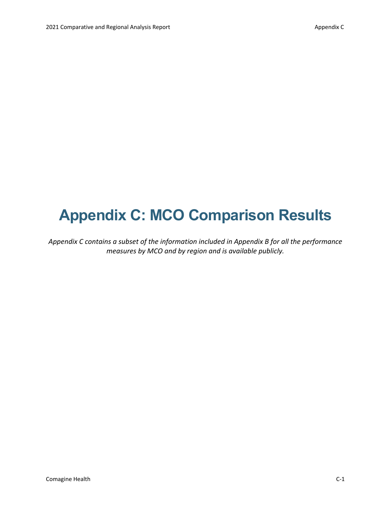## **Appendix C: MCO Comparison Results**

*Appendix C contains a subset of the information included in Appendix B for all the performance measures by MCO and by region and is available publicly.*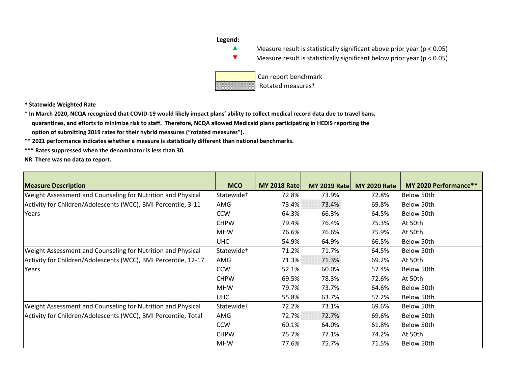## **Legend:**



▲ Measure result is statistically significant above prior year (p < 0.05)

▼ Measure result is statistically significant below prior year (p < 0.05)



 Can report benchmark Rotated measures\*

**† Statewide Weighted Rate**

**\* In March 2020, NCQA recognized that COVID-19 would likely impact plans' ability to collect medical record data due to travel bans, quarantines, and efforts to minimize risk to staff. Therefore, NCQA allowed Medicaid plans participating in HEDIS reporting the option of submitting 2019 rates for their hybrid measures ("rotated measures").**

**\*\* 2021 performance indicates whether a measure is statistically different than national benchmarks.**

**\*\*\* Rates suppressed when the denominator is less than 30.**

**NR There was no data to report.**

| <b>Measure Description</b>                                     | <b>MCO</b>             | <b>MY 2018 Rate</b> | <b>MY 2019 Rate</b> | <b>MY 2020 Rate</b> | MY 2020 Performance** |
|----------------------------------------------------------------|------------------------|---------------------|---------------------|---------------------|-----------------------|
| Weight Assessment and Counseling for Nutrition and Physical    | Statewide <sup>+</sup> | 72.8%               | 73.9%               | 72.8%               | Below 50th            |
| Activity for Children/Adolescents (WCC), BMI Percentile, 3-11  | AMG                    | 73.4%               | 73.4%               | 69.8%               | Below 50th            |
| Years                                                          | <b>CCW</b>             | 64.3%               | 66.3%               | 64.5%               | Below 50th            |
|                                                                | <b>CHPW</b>            | 79.4%               | 76.4%               | 75.3%               | At 50th               |
|                                                                | <b>MHW</b>             | 76.6%               | 76.6%               | 75.9%               | At 50th               |
|                                                                | <b>UHC</b>             | 54.9%               | 64.9%               | 66.5%               | Below 50th            |
| Weight Assessment and Counseling for Nutrition and Physical    | Statewide <sup>+</sup> | 71.2%               | 71.7%               | 64.5%               | Below 50th            |
| Activity for Children/Adolescents (WCC), BMI Percentile, 12-17 | AMG                    | 71.3%               | 71.3%               | 69.2%               | At 50th               |
| Years                                                          | <b>CCW</b>             | 52.1%               | 60.0%               | 57.4%               | Below 50th            |
|                                                                | <b>CHPW</b>            | 69.5%               | 78.3%               | 72.6%               | At 50th               |
|                                                                | <b>MHW</b>             | 79.7%               | 73.7%               | 64.6%               | Below 50th            |
|                                                                | <b>UHC</b>             | 55.8%               | 63.7%               | 57.2%               | Below 50th            |
| Weight Assessment and Counseling for Nutrition and Physical    | Statewide <sup>+</sup> | 72.2%               | 73.1%               | 69.6%               | Below 50th            |
| Activity for Children/Adolescents (WCC), BMI Percentile, Total | AMG                    | 72.7%               | 72.7%               | 69.6%               | Below 50th            |
|                                                                | <b>CCW</b>             | 60.1%               | 64.0%               | 61.8%               | Below 50th            |
|                                                                | <b>CHPW</b>            | 75.7%               | 77.1%               | 74.2%               | At 50th               |
|                                                                | <b>MHW</b>             | 77.6%               | 75.7%               | 71.5%               | Below 50th            |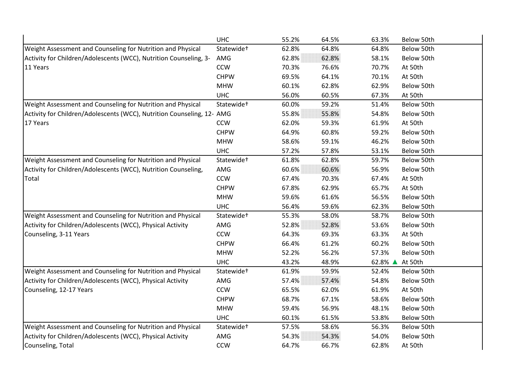|                                                                        | <b>UHC</b>             | 55.2% | 64.5% | 63.3%   | Below 50th |
|------------------------------------------------------------------------|------------------------|-------|-------|---------|------------|
| Weight Assessment and Counseling for Nutrition and Physical            | Statewide <sup>+</sup> | 62.8% | 64.8% | 64.8%   | Below 50th |
| Activity for Children/Adolescents (WCC), Nutrition Counseling, 3-      | AMG                    | 62.8% | 62.8% | 58.1%   | Below 50th |
| 11 Years                                                               | <b>CCW</b>             | 70.3% | 76.6% | 70.7%   | At 50th    |
|                                                                        | <b>CHPW</b>            | 69.5% | 64.1% | 70.1%   | At 50th    |
|                                                                        | <b>MHW</b>             | 60.1% | 62.8% | 62.9%   | Below 50th |
|                                                                        | <b>UHC</b>             | 56.0% | 60.5% | 67.3%   | At 50th    |
| Weight Assessment and Counseling for Nutrition and Physical            | Statewide <sup>+</sup> | 60.0% | 59.2% | 51.4%   | Below 50th |
| Activity for Children/Adolescents (WCC), Nutrition Counseling, 12- AMG |                        | 55.8% | 55.8% | 54.8%   | Below 50th |
| 17 Years                                                               | <b>CCW</b>             | 62.0% | 59.3% | 61.9%   | At 50th    |
|                                                                        | <b>CHPW</b>            | 64.9% | 60.8% | 59.2%   | Below 50th |
|                                                                        | <b>MHW</b>             | 58.6% | 59.1% | 46.2%   | Below 50th |
|                                                                        | <b>UHC</b>             | 57.2% | 57.8% | 53.1%   | Below 50th |
| Weight Assessment and Counseling for Nutrition and Physical            | Statewide <sup>+</sup> | 61.8% | 62.8% | 59.7%   | Below 50th |
| Activity for Children/Adolescents (WCC), Nutrition Counseling,         | AMG                    | 60.6% | 60.6% | 56.9%   | Below 50th |
| Total                                                                  | <b>CCW</b>             | 67.4% | 70.3% | 67.4%   | At 50th    |
|                                                                        | <b>CHPW</b>            | 67.8% | 62.9% | 65.7%   | At 50th    |
|                                                                        | <b>MHW</b>             | 59.6% | 61.6% | 56.5%   | Below 50th |
|                                                                        | <b>UHC</b>             | 56.4% | 59.6% | 62.3%   | Below 50th |
| Weight Assessment and Counseling for Nutrition and Physical            | Statewide <sup>+</sup> | 55.3% | 58.0% | 58.7%   | Below 50th |
| Activity for Children/Adolescents (WCC), Physical Activity             | AMG                    | 52.8% | 52.8% | 53.6%   | Below 50th |
| Counseling, 3-11 Years                                                 | <b>CCW</b>             | 64.3% | 69.3% | 63.3%   | At 50th    |
|                                                                        | <b>CHPW</b>            | 66.4% | 61.2% | 60.2%   | Below 50th |
|                                                                        | <b>MHW</b>             | 52.2% | 56.2% | 57.3%   | Below 50th |
|                                                                        | <b>UHC</b>             | 43.2% | 48.9% | 62.8% ▲ | At 50th    |
| Weight Assessment and Counseling for Nutrition and Physical            | Statewide <sup>+</sup> | 61.9% | 59.9% | 52.4%   | Below 50th |
| Activity for Children/Adolescents (WCC), Physical Activity             | AMG                    | 57.4% | 57.4% | 54.8%   | Below 50th |
| Counseling, 12-17 Years                                                | <b>CCW</b>             | 65.5% | 62.0% | 61.9%   | At 50th    |
|                                                                        | <b>CHPW</b>            | 68.7% | 67.1% | 58.6%   | Below 50th |
|                                                                        | <b>MHW</b>             | 59.4% | 56.9% | 48.1%   | Below 50th |
|                                                                        | <b>UHC</b>             | 60.1% | 61.5% | 53.8%   | Below 50th |
| Weight Assessment and Counseling for Nutrition and Physical            | Statewide <sup>+</sup> | 57.5% | 58.6% | 56.3%   | Below 50th |
| Activity for Children/Adolescents (WCC), Physical Activity             | AMG                    | 54.3% | 54.3% | 54.0%   | Below 50th |
| Counseling, Total                                                      | <b>CCW</b>             | 64.7% | 66.7% | 62.8%   | At 50th    |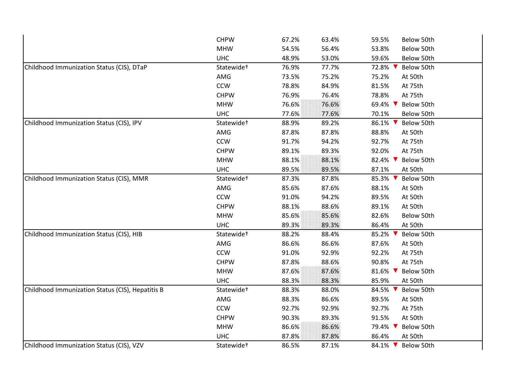|                                                  | <b>CHPW</b>            | 67.2% | 63.4% | 59.5%<br>Below 50th   |
|--------------------------------------------------|------------------------|-------|-------|-----------------------|
|                                                  | <b>MHW</b>             | 54.5% | 56.4% | 53.8%<br>Below 50th   |
|                                                  | <b>UHC</b>             | 48.9% | 53.0% | 59.6%<br>Below 50th   |
| Childhood Immunization Status (CIS), DTaP        | Statewide <sup>+</sup> | 76.9% | 77.7% | 72.8%<br>Below 50th   |
|                                                  | AMG                    | 73.5% | 75.2% | 75.2%<br>At 50th      |
|                                                  | <b>CCW</b>             | 78.8% | 84.9% | 81.5%<br>At 75th      |
|                                                  | <b>CHPW</b>            | 76.9% | 76.4% | 78.8%<br>At 75th      |
|                                                  | <b>MHW</b>             | 76.6% | 76.6% | 69.4% ▼<br>Below 50th |
|                                                  | <b>UHC</b>             | 77.6% | 77.6% | 70.1%<br>Below 50th   |
| Childhood Immunization Status (CIS), IPV         | Statewide <sup>+</sup> | 88.9% | 89.2% | 86.1%<br>Below 50th   |
|                                                  | AMG                    | 87.8% | 87.8% | 88.8%<br>At 50th      |
|                                                  | <b>CCW</b>             | 91.7% | 94.2% | 92.7%<br>At 75th      |
|                                                  | <b>CHPW</b>            | 89.1% | 89.3% | 92.0%<br>At 75th      |
|                                                  | <b>MHW</b>             | 88.1% | 88.1% | 82.4%<br>Below 50th   |
|                                                  | <b>UHC</b>             | 89.5% | 89.5% | 87.1%<br>At 50th      |
| Childhood Immunization Status (CIS), MMR         | Statewide <sup>+</sup> | 87.3% | 87.8% | 85.3% ▼<br>Below 50th |
|                                                  | AMG                    | 85.6% | 87.6% | 88.1%<br>At 50th      |
|                                                  | <b>CCW</b>             | 91.0% | 94.2% | 89.5%<br>At 50th      |
|                                                  | <b>CHPW</b>            | 88.1% | 88.6% | 89.1%<br>At 50th      |
|                                                  | <b>MHW</b>             | 85.6% | 85.6% | 82.6%<br>Below 50th   |
|                                                  | <b>UHC</b>             | 89.3% | 89.3% | 86.4%<br>At 50th      |
| Childhood Immunization Status (CIS), HIB         | Statewide <sup>+</sup> | 88.2% | 88.4% | 85.2%<br>Below 50th   |
|                                                  | AMG                    | 86.6% | 86.6% | 87.6%<br>At 50th      |
|                                                  | CCW                    | 91.0% | 92.9% | 92.2%<br>At 75th      |
|                                                  | <b>CHPW</b>            | 87.8% | 88.6% | 90.8%<br>At 75th      |
|                                                  | <b>MHW</b>             | 87.6% | 87.6% | 81.6%<br>Below 50th   |
|                                                  | <b>UHC</b>             | 88.3% | 88.3% | 85.9%<br>At 50th      |
| Childhood Immunization Status (CIS), Hepatitis B | Statewide <sup>+</sup> | 88.3% | 88.0% | 84.5%<br>Below 50th   |
|                                                  | AMG                    | 88.3% | 86.6% | 89.5%<br>At 50th      |
|                                                  | <b>CCW</b>             | 92.7% | 92.9% | 92.7%<br>At 75th      |
|                                                  | <b>CHPW</b>            | 90.3% | 89.3% | 91.5%<br>At 50th      |
|                                                  | <b>MHW</b>             | 86.6% | 86.6% | 79.4% ▼<br>Below 50th |
|                                                  | <b>UHC</b>             | 87.8% | 87.8% | 86.4%<br>At 50th      |
| Childhood Immunization Status (CIS), VZV         | Statewide <sup>+</sup> | 86.5% | 87.1% | 84.1% ▼<br>Below 50th |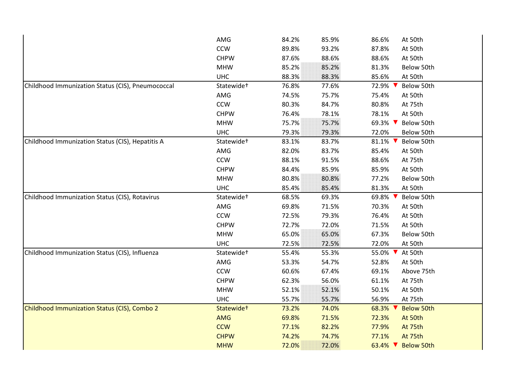| AMG                    | 84.2% | 85.9% | At 50th<br>86.6%                                |  |
|------------------------|-------|-------|-------------------------------------------------|--|
| <b>CCW</b>             | 89.8% | 93.2% | 87.8%<br>At 50th                                |  |
| <b>CHPW</b>            | 87.6% | 88.6% | 88.6%<br>At 50th                                |  |
| <b>MHW</b>             | 85.2% | 85.2% | 81.3%<br>Below 50th                             |  |
| <b>UHC</b>             | 88.3% | 88.3% | 85.6%<br>At 50th                                |  |
| Statewide <sup>+</sup> | 76.8% | 77.6% | Below 50th<br>72.9%                             |  |
| AMG                    | 74.5% | 75.7% | 75.4%<br>At 50th                                |  |
| <b>CCW</b>             | 80.3% | 84.7% | 80.8%<br>At 75th                                |  |
| <b>CHPW</b>            | 76.4% | 78.1% | 78.1%<br>At 50th                                |  |
| <b>MHW</b>             | 75.7% | 75.7% | Below 50th<br>69.3% ▼                           |  |
| <b>UHC</b>             | 79.3% | 79.3% | 72.0%<br>Below 50th                             |  |
| Statewide <sup>+</sup> | 83.1% | 83.7% | 81.1%<br>Below 50th                             |  |
| AMG                    | 82.0% | 83.7% | 85.4%<br>At 50th                                |  |
| <b>CCW</b>             | 88.1% | 91.5% | 88.6%<br>At 75th                                |  |
| <b>CHPW</b>            | 84.4% | 85.9% | 85.9%<br>At 50th                                |  |
| <b>MHW</b>             | 80.8% | 80.8% | 77.2%<br>Below 50th                             |  |
| <b>UHC</b>             | 85.4% | 85.4% | At 50th<br>81.3%                                |  |
| Statewide <sup>+</sup> | 68.5% | 69.3% | Below 50th<br>69.8%                             |  |
| AMG                    | 69.8% | 71.5% | 70.3%<br>At 50th                                |  |
| <b>CCW</b>             | 72.5% | 79.3% | 76.4%<br>At 50th                                |  |
| <b>CHPW</b>            | 72.7% | 72.0% | 71.5%<br>At 50th                                |  |
| <b>MHW</b>             | 65.0% | 65.0% | 67.3%<br>Below 50th                             |  |
| <b>UHC</b>             | 72.5% | 72.5% | 72.0%<br>At 50th                                |  |
| Statewide <sup>+</sup> | 55.4% | 55.3% | 55.0%<br>At 50th                                |  |
| AMG                    | 53.3% | 54.7% | 52.8%<br>At 50th                                |  |
| CCW                    | 60.6% | 67.4% | 69.1%<br>Above 75th                             |  |
| <b>CHPW</b>            | 62.3% | 56.0% | 61.1%<br>At 75th                                |  |
| <b>MHW</b>             | 52.1% | 52.1% | 50.1%<br>At 50th                                |  |
| <b>UHC</b>             | 55.7% | 55.7% | 56.9%<br>At 75th                                |  |
| Statewide <sup>+</sup> | 73.2% | 74.0% | <b>Below 50th</b><br>68.3% V                    |  |
| <b>AMG</b>             | 69.8% | 71.5% | 72.3%<br>At 50th                                |  |
| <b>CCW</b>             | 77.1% | 82.2% | 77.9%<br>At 75th                                |  |
| <b>CHPW</b>            | 74.2% | 74.7% | 77.1%<br>At 75th                                |  |
| <b>MHW</b>             | 72.0% | 72.0% | 63.4% $\blacktriangledown$<br><b>Below 50th</b> |  |
|                        |       |       |                                                 |  |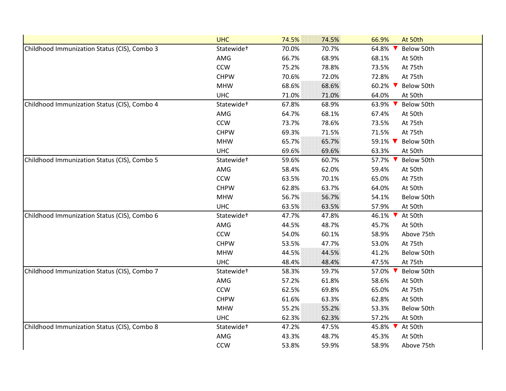|                                              | <b>UHC</b>             | 74.5% | 74.5% | 66.9%<br>At 50th                         |
|----------------------------------------------|------------------------|-------|-------|------------------------------------------|
| Childhood Immunization Status (CIS), Combo 3 | Statewide <sup>+</sup> | 70.0% | 70.7% | 64.8% ▼<br>Below 50th                    |
|                                              | AMG                    | 66.7% | 68.9% | 68.1%<br>At 50th                         |
|                                              | CCW                    | 75.2% | 78.8% | 73.5%<br>At 75th                         |
|                                              | <b>CHPW</b>            | 70.6% | 72.0% | 72.8%<br>At 75th                         |
|                                              | <b>MHW</b>             | 68.6% | 68.6% | 60.2% $\blacktriangledown$<br>Below 50th |
|                                              | <b>UHC</b>             | 71.0% | 71.0% | 64.0%<br>At 50th                         |
| Childhood Immunization Status (CIS), Combo 4 | Statewide <sup>+</sup> | 67.8% | 68.9% | 63.9% ▼<br>Below 50th                    |
|                                              | AMG                    | 64.7% | 68.1% | 67.4%<br>At 50th                         |
|                                              | CCW                    | 73.7% | 78.6% | 73.5%<br>At 75th                         |
|                                              | <b>CHPW</b>            | 69.3% | 71.5% | 71.5%<br>At 75th                         |
|                                              | <b>MHW</b>             | 65.7% | 65.7% | 59.1% ▼<br>Below 50th                    |
|                                              | <b>UHC</b>             | 69.6% | 69.6% | 63.3%<br>At 50th                         |
| Childhood Immunization Status (CIS), Combo 5 | Statewide <sup>+</sup> | 59.6% | 60.7% | 57.7% ▼<br>Below 50th                    |
|                                              | AMG                    | 58.4% | 62.0% | 59.4%<br>At 50th                         |
|                                              | <b>CCW</b>             | 63.5% | 70.1% | 65.0%<br>At 75th                         |
|                                              | <b>CHPW</b>            | 62.8% | 63.7% | 64.0%<br>At 50th                         |
|                                              | <b>MHW</b>             | 56.7% | 56.7% | 54.1%<br>Below 50th                      |
|                                              | <b>UHC</b>             | 63.5% | 63.5% | 57.9%<br>At 50th                         |
| Childhood Immunization Status (CIS), Combo 6 | Statewide <sup>+</sup> | 47.7% | 47.8% | 46.1% V At 50th                          |
|                                              | AMG                    | 44.5% | 48.7% | 45.7%<br>At 50th                         |
|                                              | <b>CCW</b>             | 54.0% | 60.1% | 58.9%<br>Above 75th                      |
|                                              | <b>CHPW</b>            | 53.5% | 47.7% | 53.0%<br>At 75th                         |
|                                              | <b>MHW</b>             | 44.5% | 44.5% | 41.2%<br>Below 50th                      |
|                                              | <b>UHC</b>             | 48.4% | 48.4% | 47.5%<br>At 75th                         |
| Childhood Immunization Status (CIS), Combo 7 | Statewide <sup>+</sup> | 58.3% | 59.7% | 57.0%<br>Below 50th                      |
|                                              | AMG                    | 57.2% | 61.8% | 58.6%<br>At 50th                         |
|                                              | <b>CCW</b>             | 62.5% | 69.8% | 65.0%<br>At 75th                         |
|                                              | <b>CHPW</b>            | 61.6% | 63.3% | 62.8%<br>At 50th                         |
|                                              | <b>MHW</b>             | 55.2% | 55.2% | 53.3%<br>Below 50th                      |
|                                              | <b>UHC</b>             | 62.3% | 62.3% | 57.2%<br>At 50th                         |
| Childhood Immunization Status (CIS), Combo 8 | Statewide <sup>+</sup> | 47.2% | 47.5% | 45.8%<br>At 50th                         |
|                                              | AMG                    | 43.3% | 48.7% | 45.3%<br>At 50th                         |
|                                              | CCW                    | 53.8% | 59.9% | 58.9%<br>Above 75th                      |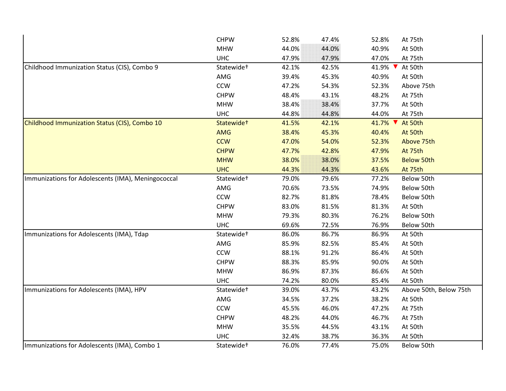|                                                    | <b>CHPW</b>            | 52.8% | 47.4% | 52.8%   | At 75th                |
|----------------------------------------------------|------------------------|-------|-------|---------|------------------------|
|                                                    | <b>MHW</b>             | 44.0% | 44.0% | 40.9%   | At 50th                |
|                                                    | <b>UHC</b>             | 47.9% | 47.9% | 47.0%   | At 75th                |
| Childhood Immunization Status (CIS), Combo 9       | Statewide <sup>+</sup> | 42.1% | 42.5% | 41.9% ▼ | At 50th                |
|                                                    | AMG                    | 39.4% | 45.3% | 40.9%   | At 50th                |
|                                                    | <b>CCW</b>             | 47.2% | 54.3% | 52.3%   | Above 75th             |
|                                                    | <b>CHPW</b>            | 48.4% | 43.1% | 48.2%   | At 75th                |
|                                                    | <b>MHW</b>             | 38.4% | 38.4% | 37.7%   | At 50th                |
|                                                    | <b>UHC</b>             | 44.8% | 44.8% | 44.0%   | At 75th                |
| Childhood Immunization Status (CIS), Combo 10      | Statewide <sup>+</sup> | 41.5% | 42.1% | 41.7%   | At 50th                |
|                                                    | <b>AMG</b>             | 38.4% | 45.3% | 40.4%   | At 50th                |
|                                                    | <b>CCW</b>             | 47.0% | 54.0% | 52.3%   | Above 75th             |
|                                                    | <b>CHPW</b>            | 47.7% | 42.8% | 47.9%   | At 75th                |
|                                                    | <b>MHW</b>             | 38.0% | 38.0% | 37.5%   | <b>Below 50th</b>      |
|                                                    | <b>UHC</b>             | 44.3% | 44.3% | 43.6%   | At 75th                |
| Immunizations for Adolescents (IMA), Meningococcal | Statewide <sup>+</sup> | 79.0% | 79.6% | 77.2%   | Below 50th             |
|                                                    | AMG                    | 70.6% | 73.5% | 74.9%   | Below 50th             |
|                                                    | <b>CCW</b>             | 82.7% | 81.8% | 78.4%   | Below 50th             |
|                                                    | <b>CHPW</b>            | 83.0% | 81.5% | 81.3%   | At 50th                |
|                                                    | <b>MHW</b>             | 79.3% | 80.3% | 76.2%   | Below 50th             |
|                                                    | <b>UHC</b>             | 69.6% | 72.5% | 76.9%   | Below 50th             |
| Immunizations for Adolescents (IMA), Tdap          | Statewide <sup>+</sup> | 86.0% | 86.7% | 86.9%   | At 50th                |
|                                                    | AMG                    | 85.9% | 82.5% | 85.4%   | At 50th                |
|                                                    | CCW                    | 88.1% | 91.2% | 86.4%   | At 50th                |
|                                                    | <b>CHPW</b>            | 88.3% | 85.9% | 90.0%   | At 50th                |
|                                                    | <b>MHW</b>             | 86.9% | 87.3% | 86.6%   | At 50th                |
|                                                    | <b>UHC</b>             | 74.2% | 80.0% | 85.4%   | At 50th                |
| Immunizations for Adolescents (IMA), HPV           | Statewide <sup>+</sup> | 39.0% | 43.7% | 43.2%   | Above 50th, Below 75th |
|                                                    | AMG                    | 34.5% | 37.2% | 38.2%   | At 50th                |
|                                                    | <b>CCW</b>             | 45.5% | 46.0% | 47.2%   | At 75th                |
|                                                    | <b>CHPW</b>            | 48.2% | 44.0% | 46.7%   | At 75th                |
|                                                    | <b>MHW</b>             | 35.5% | 44.5% | 43.1%   | At 50th                |
|                                                    | <b>UHC</b>             | 32.4% | 38.7% | 36.3%   | At 50th                |
| Immunizations for Adolescents (IMA), Combo 1       | Statewide <sup>+</sup> | 76.0% | 77.4% | 75.0%   | Below 50th             |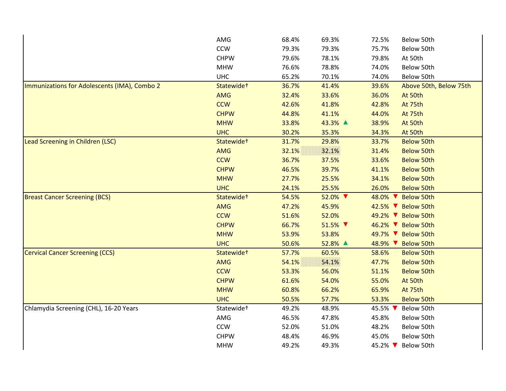|                                              | AMG                    | 68.4% | 69.3%   | 72.5%   | Below 50th             |
|----------------------------------------------|------------------------|-------|---------|---------|------------------------|
|                                              | <b>CCW</b>             | 79.3% | 79.3%   | 75.7%   | Below 50th             |
|                                              | <b>CHPW</b>            | 79.6% | 78.1%   | 79.8%   | At 50th                |
|                                              | <b>MHW</b>             | 76.6% | 78.8%   | 74.0%   | Below 50th             |
|                                              | <b>UHC</b>             | 65.2% | 70.1%   | 74.0%   | Below 50th             |
| Immunizations for Adolescents (IMA), Combo 2 | Statewide+             | 36.7% | 41.4%   | 39.6%   | Above 50th, Below 75th |
|                                              | <b>AMG</b>             | 32.4% | 33.6%   | 36.0%   | At 50th                |
|                                              | <b>CCW</b>             | 42.6% | 41.8%   | 42.8%   | At 75th                |
|                                              | <b>CHPW</b>            | 44.8% | 41.1%   | 44.0%   | At 75th                |
|                                              | <b>MHW</b>             | 33.8% | 43.3% ▲ | 38.9%   | At 50th                |
|                                              | <b>UHC</b>             | 30.2% | 35.3%   | 34.3%   | At 50th                |
| Lead Screening in Children (LSC)             | Statewide <sup>+</sup> | 31.7% | 29.8%   | 33.7%   | <b>Below 50th</b>      |
|                                              | <b>AMG</b>             | 32.1% | 32.1%   | 31.4%   | <b>Below 50th</b>      |
|                                              | <b>CCW</b>             | 36.7% | 37.5%   | 33.6%   | <b>Below 50th</b>      |
|                                              | <b>CHPW</b>            | 46.5% | 39.7%   | 41.1%   | <b>Below 50th</b>      |
|                                              | <b>MHW</b>             | 27.7% | 25.5%   | 34.1%   | <b>Below 50th</b>      |
|                                              | <b>UHC</b>             | 24.1% | 25.5%   | 26.0%   | <b>Below 50th</b>      |
| <b>Breast Cancer Screening (BCS)</b>         | Statewide+             | 54.5% | 52.0% ▼ | 48.0% ▼ | <b>Below 50th</b>      |
|                                              | <b>AMG</b>             | 47.2% | 45.9%   |         | 42.5% V Below 50th     |
|                                              | <b>CCW</b>             | 51.6% | 52.0%   |         | 49.2% V Below 50th     |
|                                              | <b>CHPW</b>            | 66.7% | 51.5% ▼ |         | 46.2% V Below 50th     |
|                                              | <b>MHW</b>             | 53.9% | 53.8%   | 49.7% ▼ | <b>Below 50th</b>      |
|                                              | <b>UHC</b>             | 50.6% | 52.8% ▲ | 48.9% V | <b>Below 50th</b>      |
| <b>Cervical Cancer Screening (CCS)</b>       | Statewide <sup>+</sup> | 57.7% | 60.5%   | 58.6%   | <b>Below 50th</b>      |
|                                              | <b>AMG</b>             | 54.1% | 54.1%   | 47.7%   | <b>Below 50th</b>      |
|                                              | <b>CCW</b>             | 53.3% | 56.0%   | 51.1%   | <b>Below 50th</b>      |
|                                              | <b>CHPW</b>            | 61.6% | 54.0%   | 55.0%   | At 50th                |
|                                              | <b>MHW</b>             | 60.8% | 66.2%   | 65.9%   | At 75th                |
|                                              | <b>UHC</b>             | 50.5% | 57.7%   | 53.3%   | <b>Below 50th</b>      |
| Chlamydia Screening (CHL), 16-20 Years       | Statewide <sup>+</sup> | 49.2% | 48.9%   | 45.5% ▼ | Below 50th             |
|                                              | AMG                    | 46.5% | 47.8%   | 45.8%   | Below 50th             |
|                                              | <b>CCW</b>             | 52.0% | 51.0%   | 48.2%   | Below 50th             |
|                                              | <b>CHPW</b>            | 48.4% | 46.9%   | 45.0%   | Below 50th             |
|                                              | <b>MHW</b>             | 49.2% | 49.3%   | 45.2% ▼ | Below 50th             |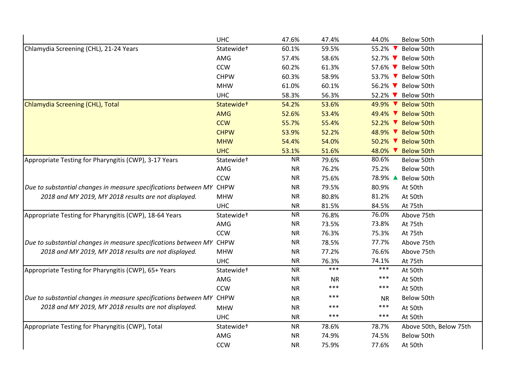|                                                                      | <b>UHC</b>             | 47.6%     | 47.4%     | 44.0%<br>Below 50th             |
|----------------------------------------------------------------------|------------------------|-----------|-----------|---------------------------------|
| Chlamydia Screening (CHL), 21-24 Years                               | Statewide <sup>+</sup> | 60.1%     | 59.5%     | 55.2% ▼<br>Below 50th           |
|                                                                      | AMG                    | 57.4%     | 58.6%     | 52.7% V Below 50th              |
|                                                                      | <b>CCW</b>             | 60.2%     | 61.3%     | 57.6% <b>V</b> Below 50th       |
|                                                                      | <b>CHPW</b>            | 60.3%     | 58.9%     | 53.7% V Below 50th              |
|                                                                      | <b>MHW</b>             | 61.0%     | 60.1%     | 56.2% V Below 50th              |
|                                                                      | <b>UHC</b>             | 58.3%     | 56.3%     | 52.2% V Below 50th              |
| Chlamydia Screening (CHL), Total                                     | Statewide <sup>+</sup> | 54.2%     | 53.6%     | 49.9% V Below 50th              |
|                                                                      | <b>AMG</b>             | 52.6%     | 53.4%     | 49.4% V Below 50th              |
|                                                                      | <b>CCW</b>             | 55.7%     | 55.4%     | 52.2% V Below 50th              |
|                                                                      | <b>CHPW</b>            | 53.9%     | 52.2%     | 48.9% V Below 50th              |
|                                                                      | <b>MHW</b>             | 54.4%     | 54.0%     | 50.2% V Below 50th              |
|                                                                      | <b>UHC</b>             | 53.1%     | 51.6%     | 48.0% V Below 50th              |
| Appropriate Testing for Pharyngitis (CWP), 3-17 Years                | Statewide <sup>+</sup> | <b>NR</b> | 79.6%     | 80.6%<br>Below 50th             |
|                                                                      | AMG                    | <b>NR</b> | 76.2%     | 75.2%<br>Below 50th             |
|                                                                      | <b>CCW</b>             | <b>NR</b> | 75.6%     | 78.9% ▲ Below 50th              |
| Due to substantial changes in measure specifications between MY CHPW |                        | <b>NR</b> | 79.5%     | 80.9%<br>At 50th                |
| 2018 and MY 2019, MY 2018 results are not displayed.                 | <b>MHW</b>             | <b>NR</b> | 80.8%     | 81.2%<br>At 50th                |
|                                                                      | <b>UHC</b>             | <b>NR</b> | 81.5%     | 84.5%<br>At 75th                |
| Appropriate Testing for Pharyngitis (CWP), 18-64 Years               | Statewide <sup>+</sup> | <b>NR</b> | 76.8%     | 76.0%<br>Above 75th             |
|                                                                      | AMG                    | <b>NR</b> | 73.5%     | 73.8%<br>At 75th                |
|                                                                      | <b>CCW</b>             | <b>NR</b> | 76.3%     | 75.3%<br>At 75th                |
| Due to substantial changes in measure specifications between MY CHPW |                        | <b>NR</b> | 78.5%     | 77.7%<br>Above 75th             |
| 2018 and MY 2019, MY 2018 results are not displayed.                 | <b>MHW</b>             | <b>NR</b> | 77.2%     | 76.6%<br>Above 75th             |
|                                                                      | <b>UHC</b>             | <b>NR</b> | 76.3%     | 74.1%<br>At 75th                |
| Appropriate Testing for Pharyngitis (CWP), 65+ Years                 | Statewide <sup>+</sup> | <b>NR</b> | $***$     | $***$<br>At 50th                |
|                                                                      | AMG                    | <b>NR</b> | <b>NR</b> | $***$<br>At 50th                |
|                                                                      | <b>CCW</b>             | <b>NR</b> | ***       | $***$<br>At 50th                |
| Due to substantial changes in measure specifications between MY CHPW |                        | <b>NR</b> | ***       | Below 50th<br><b>NR</b>         |
| 2018 and MY 2019, MY 2018 results are not displayed.                 | <b>MHW</b>             | <b>NR</b> | ***       | ***<br>At 50th                  |
|                                                                      | <b>UHC</b>             | <b>NR</b> | ***       | $***$<br>At 50th                |
| Appropriate Testing for Pharyngitis (CWP), Total                     | Statewide <sup>+</sup> | <b>NR</b> | 78.6%     | 78.7%<br>Above 50th, Below 75th |
|                                                                      | AMG                    | <b>NR</b> | 74.9%     | 74.5%<br>Below 50th             |
|                                                                      | <b>CCW</b>             | <b>NR</b> | 75.9%     | 77.6%<br>At 50th                |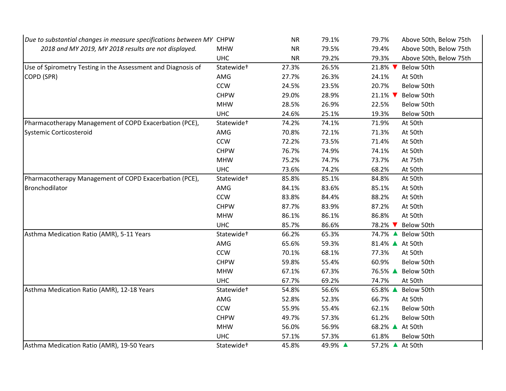| Due to substantial changes in measure specifications between MY CHPW |                        | <b>NR</b> | 79.1%   | 79.7%           | Above 50th, Below 75th |
|----------------------------------------------------------------------|------------------------|-----------|---------|-----------------|------------------------|
| 2018 and MY 2019, MY 2018 results are not displayed.                 | <b>MHW</b>             | <b>NR</b> | 79.5%   | 79.4%           | Above 50th, Below 75th |
|                                                                      | <b>UHC</b>             | <b>NR</b> | 79.2%   | 79.3%           | Above 50th, Below 75th |
| Use of Spirometry Testing in the Assessment and Diagnosis of         | Statewide <sup>+</sup> | 27.3%     | 26.5%   | 21.8% ▼         | Below 50th             |
| COPD (SPR)                                                           | AMG                    | 27.7%     | 26.3%   | 24.1%           | At 50th                |
|                                                                      | <b>CCW</b>             | 24.5%     | 23.5%   | 20.7%           | Below 50th             |
|                                                                      | <b>CHPW</b>            | 29.0%     | 28.9%   | 21.1% ▼         | Below 50th             |
|                                                                      | <b>MHW</b>             | 28.5%     | 26.9%   | 22.5%           | Below 50th             |
|                                                                      | <b>UHC</b>             | 24.6%     | 25.1%   | 19.3%           | Below 50th             |
| Pharmacotherapy Management of COPD Exacerbation (PCE),               | Statewide <sup>+</sup> | 74.2%     | 74.1%   | 71.9%           | At 50th                |
| Systemic Corticosteroid                                              | AMG                    | 70.8%     | 72.1%   | 71.3%           | At 50th                |
|                                                                      | <b>CCW</b>             | 72.2%     | 73.5%   | 71.4%           | At 50th                |
|                                                                      | <b>CHPW</b>            | 76.7%     | 74.9%   | 74.1%           | At 50th                |
|                                                                      | <b>MHW</b>             | 75.2%     | 74.7%   | 73.7%           | At 75th                |
|                                                                      | <b>UHC</b>             | 73.6%     | 74.2%   | 68.2%           | At 50th                |
| Pharmacotherapy Management of COPD Exacerbation (PCE),               | Statewide <sup>+</sup> | 85.8%     | 85.1%   | 84.8%           | At 50th                |
| Bronchodilator                                                       | AMG                    | 84.1%     | 83.6%   | 85.1%           | At 50th                |
|                                                                      | <b>CCW</b>             | 83.8%     | 84.4%   | 88.2%           | At 50th                |
|                                                                      | <b>CHPW</b>            | 87.7%     | 83.9%   | 87.2%           | At 50th                |
|                                                                      | <b>MHW</b>             | 86.1%     | 86.1%   | 86.8%           | At 50th                |
|                                                                      | <b>UHC</b>             | 85.7%     | 86.6%   | 78.2% ▼         | Below 50th             |
| Asthma Medication Ratio (AMR), 5-11 Years                            | Statewide <sup>+</sup> | 66.2%     | 65.3%   | 74.7% ▲         | Below 50th             |
|                                                                      | AMG                    | 65.6%     | 59.3%   | 81.4% ▲ At 50th |                        |
|                                                                      | <b>CCW</b>             | 70.1%     | 68.1%   | 77.3%           | At 50th                |
|                                                                      | <b>CHPW</b>            | 59.8%     | 55.4%   | 60.9%           | Below 50th             |
|                                                                      | <b>MHW</b>             | 67.1%     | 67.3%   | 76.5% ▲         | Below 50th             |
|                                                                      | <b>UHC</b>             | 67.7%     | 69.2%   | 74.7%           | At 50th                |
| Asthma Medication Ratio (AMR), 12-18 Years                           | Statewide <sup>+</sup> | 54.8%     | 56.6%   | 65.8% ▲         | Below 50th             |
|                                                                      | AMG                    | 52.8%     | 52.3%   | 66.7%           | At 50th                |
|                                                                      | <b>CCW</b>             | 55.9%     | 55.4%   | 62.1%           | Below 50th             |
|                                                                      | <b>CHPW</b>            | 49.7%     | 57.3%   | 61.2%           | Below 50th             |
|                                                                      | <b>MHW</b>             | 56.0%     | 56.9%   | 68.2% ▲         | At 50th                |
|                                                                      | <b>UHC</b>             | 57.1%     | 57.3%   | 61.8%           | Below 50th             |
| Asthma Medication Ratio (AMR), 19-50 Years                           | Statewide <sup>+</sup> | 45.8%     | 49.9% ▲ | 57.2% ▲ At 50th |                        |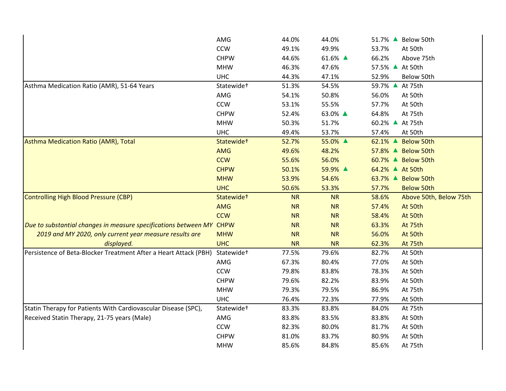|                                                                      | AMG                    | 44.0%     | 44.0%     | 51.7% ▲ Below 50th              |
|----------------------------------------------------------------------|------------------------|-----------|-----------|---------------------------------|
|                                                                      | <b>CCW</b>             | 49.1%     | 49.9%     | 53.7%<br>At 50th                |
|                                                                      | <b>CHPW</b>            | 44.6%     | 61.6% ▲   | 66.2%<br>Above 75th             |
|                                                                      | <b>MHW</b>             | 46.3%     | 47.6%     | 57.5% ▲ At 50th                 |
|                                                                      | <b>UHC</b>             | 44.3%     | 47.1%     | 52.9%<br>Below 50th             |
| Asthma Medication Ratio (AMR), 51-64 Years                           | Statewide <sup>+</sup> | 51.3%     | 54.5%     | 59.7% ▲<br>At 75th              |
|                                                                      | AMG                    | 54.1%     | 50.8%     | 56.0%<br>At 50th                |
|                                                                      | <b>CCW</b>             | 53.1%     | 55.5%     | 57.7%<br>At 50th                |
|                                                                      | <b>CHPW</b>            | 52.4%     | 63.0% ▲   | 64.8%<br>At 75th                |
|                                                                      | <b>MHW</b>             | 50.3%     | 51.7%     | 60.2% ▲ At 75th                 |
|                                                                      | <b>UHC</b>             | 49.4%     | 53.7%     | 57.4%<br>At 50th                |
| Asthma Medication Ratio (AMR), Total                                 | Statewide <sup>+</sup> | 52.7%     | 55.0% ▲   | 62.1% ▲ Below 50th              |
|                                                                      | <b>AMG</b>             | 49.6%     | 48.2%     | 57.8% ▲ Below 50th              |
|                                                                      | <b>CCW</b>             | 55.6%     | 56.0%     | 60.7% ▲ Below 50th              |
|                                                                      | <b>CHPW</b>            | 50.1%     | 59.9% ▲   | 64.2% ▲ At 50th                 |
|                                                                      | <b>MHW</b>             | 53.9%     | 54.6%     | 63.7% ▲ Below 50th              |
|                                                                      | <b>UHC</b>             | 50.6%     | 53.3%     | 57.7%<br><b>Below 50th</b>      |
| Controlling High Blood Pressure (CBP)                                | Statewide <sup>+</sup> | <b>NR</b> | <b>NR</b> | 58.6%<br>Above 50th, Below 75th |
|                                                                      | AMG                    | <b>NR</b> | <b>NR</b> | At 50th<br>57.4%                |
|                                                                      | <b>CCW</b>             | <b>NR</b> | <b>NR</b> | 58.4%<br>At 50th                |
| Due to substantial changes in measure specifications between MY CHPW |                        | <b>NR</b> | <b>NR</b> | 63.3%<br>At 75th                |
| 2019 and MY 2020, only current year measure results are              | <b>MHW</b>             | <b>NR</b> | <b>NR</b> | 56.0%<br>At 50th                |
| displayed.                                                           | <b>UHC</b>             |           |           |                                 |
|                                                                      |                        | <b>NR</b> | <b>NR</b> | 62.3%<br>At 75th                |
| Persistence of Beta-Blocker Treatment After a Heart Attack (PBH)     | Statewide <sup>+</sup> | 77.5%     | 79.6%     | 82.7%<br>At 50th                |
|                                                                      | AMG                    | 67.3%     | 80.4%     | 77.0%<br>At 50th                |
|                                                                      | CCW                    | 79.8%     | 83.8%     | 78.3%<br>At 50th                |
|                                                                      | <b>CHPW</b>            | 79.6%     | 82.2%     | 83.9%<br>At 50th                |
|                                                                      | <b>MHW</b>             | 79.3%     | 79.5%     | 86.9%<br>At 75th                |
|                                                                      | <b>UHC</b>             | 76.4%     | 72.3%     | 77.9%<br>At 50th                |
| Statin Therapy for Patients With Cardiovascular Disease (SPC),       | Statewide <sup>+</sup> | 83.3%     | 83.8%     | 84.0%<br>At 75th                |
| Received Statin Therapy, 21-75 years (Male)                          | AMG                    | 83.8%     | 83.5%     | 83.8%<br>At 50th                |
|                                                                      | CCW                    | 82.3%     | 80.0%     | 81.7%<br>At 50th                |
|                                                                      | <b>CHPW</b>            | 81.0%     | 83.7%     | 80.9%<br>At 50th                |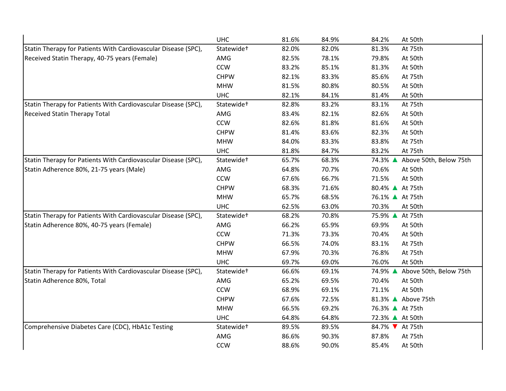|                                                                | <b>UHC</b>             | 81.6% | 84.9% | 84.2%<br>At 50th                  |
|----------------------------------------------------------------|------------------------|-------|-------|-----------------------------------|
| Statin Therapy for Patients With Cardiovascular Disease (SPC), | Statewide <sup>+</sup> | 82.0% | 82.0% | 81.3%<br>At 75th                  |
| Received Statin Therapy, 40-75 years (Female)                  | AMG                    | 82.5% | 78.1% | 79.8%<br>At 50th                  |
|                                                                | <b>CCW</b>             | 83.2% | 85.1% | 81.3%<br>At 50th                  |
|                                                                | <b>CHPW</b>            | 82.1% | 83.3% | 85.6%<br>At 75th                  |
|                                                                | <b>MHW</b>             | 81.5% | 80.8% | 80.5%<br>At 50th                  |
|                                                                | <b>UHC</b>             | 82.1% | 84.1% | 81.4%<br>At 50th                  |
| Statin Therapy for Patients With Cardiovascular Disease (SPC), | Statewide <sup>+</sup> | 82.8% | 83.2% | 83.1%<br>At 75th                  |
| <b>Received Statin Therapy Total</b>                           | AMG                    | 83.4% | 82.1% | 82.6%<br>At 50th                  |
|                                                                | <b>CCW</b>             | 82.6% | 81.8% | 81.6%<br>At 50th                  |
|                                                                | <b>CHPW</b>            | 81.4% | 83.6% | 82.3%<br>At 50th                  |
|                                                                | <b>MHW</b>             | 84.0% | 83.3% | 83.8%<br>At 75th                  |
|                                                                | <b>UHC</b>             | 81.8% | 84.7% | 83.2%<br>At 75th                  |
| Statin Therapy for Patients With Cardiovascular Disease (SPC), | Statewide <sup>+</sup> | 65.7% | 68.3% | 74.3% ▲ Above 50th, Below 75th    |
| Statin Adherence 80%, 21-75 years (Male)                       | AMG                    | 64.8% | 70.7% | 70.6%<br>At 50th                  |
|                                                                | <b>CCW</b>             | 67.6% | 66.7% | 71.5%<br>At 50th                  |
|                                                                | <b>CHPW</b>            | 68.3% | 71.6% | 80.4% ▲ At 75th                   |
|                                                                | <b>MHW</b>             | 65.7% | 68.5% | 76.1% ▲ At 75th                   |
|                                                                | <b>UHC</b>             | 62.5% | 63.0% | 70.3%<br>At 50th                  |
| Statin Therapy for Patients With Cardiovascular Disease (SPC), | Statewide <sup>+</sup> | 68.2% | 70.8% | 75.9% ▲ At 75th                   |
| Statin Adherence 80%, 40-75 years (Female)                     | AMG                    | 66.2% | 65.9% | 69.9%<br>At 50th                  |
|                                                                | <b>CCW</b>             | 71.3% | 73.3% | 70.4%<br>At 50th                  |
|                                                                | <b>CHPW</b>            | 66.5% | 74.0% | 83.1%<br>At 75th                  |
|                                                                | <b>MHW</b>             | 67.9% | 70.3% | 76.8%<br>At 75th                  |
|                                                                | <b>UHC</b>             | 69.7% | 69.0% | 76.0%<br>At 50th                  |
| Statin Therapy for Patients With Cardiovascular Disease (SPC), | Statewide <sup>+</sup> | 66.6% | 69.1% | 74.9% ▲<br>Above 50th, Below 75th |
| Statin Adherence 80%, Total                                    | AMG                    | 65.2% | 69.5% | 70.4%<br>At 50th                  |
|                                                                | <b>CCW</b>             | 68.9% | 69.1% | 71.1%<br>At 50th                  |
|                                                                | <b>CHPW</b>            | 67.6% | 72.5% | 81.3% ▲ Above 75th                |
|                                                                | <b>MHW</b>             | 66.5% | 69.2% | 76.3% ▲ At 75th                   |
|                                                                | <b>UHC</b>             | 64.8% | 64.8% | 72.3% ▲ At 50th                   |
| Comprehensive Diabetes Care (CDC), HbA1c Testing               | Statewide <sup>+</sup> | 89.5% | 89.5% | 84.7% V At 75th                   |
|                                                                | AMG                    | 86.6% | 90.3% | 87.8%<br>At 75th                  |
|                                                                | <b>CCW</b>             | 88.6% | 90.0% | 85.4%<br>At 50th                  |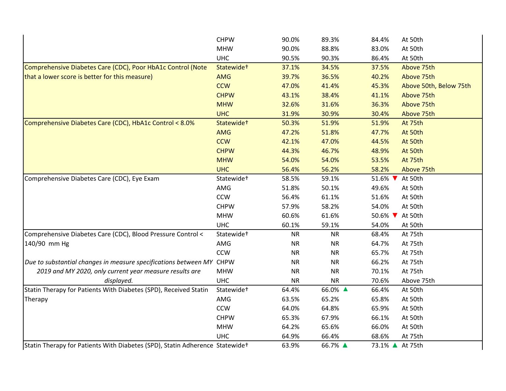|                                                                              | <b>CHPW</b>            | 90.0%     | 89.3%      | 84.4%                      | At 50th                |
|------------------------------------------------------------------------------|------------------------|-----------|------------|----------------------------|------------------------|
|                                                                              | <b>MHW</b>             | 90.0%     | 88.8%      | 83.0%                      | At 50th                |
|                                                                              | <b>UHC</b>             | 90.5%     | 90.3%      | 86.4%                      | At 50th                |
| Comprehensive Diabetes Care (CDC), Poor HbA1c Control (Note                  | Statewide <sup>+</sup> | 37.1%     | 34.5%      | 37.5%                      | Above 75th             |
| that a lower score is better for this measure)                               | <b>AMG</b>             | 39.7%     | 36.5%      | 40.2%                      | Above 75th             |
|                                                                              | <b>CCW</b>             | 47.0%     | 41.4%      | 45.3%                      | Above 50th, Below 75th |
|                                                                              | <b>CHPW</b>            | 43.1%     | 38.4%      | 41.1%                      | Above 75th             |
|                                                                              | <b>MHW</b>             | 32.6%     | 31.6%      | 36.3%                      | Above 75th             |
|                                                                              | <b>UHC</b>             | 31.9%     | 30.9%      | 30.4%                      | Above 75th             |
| Comprehensive Diabetes Care (CDC), HbA1c Control < 8.0%                      | Statewide+             | 50.3%     | 51.9%      | 51.9%                      | At 75th                |
|                                                                              | <b>AMG</b>             | 47.2%     | 51.8%      | 47.7%                      | At 50th                |
|                                                                              | <b>CCW</b>             | 42.1%     | 47.0%      | 44.5%                      | At 50th                |
|                                                                              | <b>CHPW</b>            | 44.3%     | 46.7%      | 48.9%                      | At 50th                |
|                                                                              | <b>MHW</b>             | 54.0%     | 54.0%      | 53.5%                      | At 75th                |
|                                                                              | <b>UHC</b>             | 56.4%     | 56.2%      | 58.2%                      | Above 75th             |
| Comprehensive Diabetes Care (CDC), Eye Exam                                  | Statewide <sup>+</sup> | 58.5%     | 59.1%      | 51.6% ▼                    | At 50th                |
|                                                                              | AMG                    | 51.8%     | 50.1%      | 49.6%                      | At 50th                |
|                                                                              | <b>CCW</b>             | 56.4%     | 61.1%      | 51.6%                      | At 50th                |
|                                                                              | <b>CHPW</b>            | 57.9%     | 58.2%      | 54.0%                      | At 50th                |
|                                                                              | <b>MHW</b>             | 60.6%     | 61.6%      | 50.6% $\blacktriangledown$ | At 50th                |
|                                                                              | <b>UHC</b>             | 60.1%     | 59.1%      | 54.0%                      | At 50th                |
| Comprehensive Diabetes Care (CDC), Blood Pressure Control <                  | Statewide <sup>+</sup> | <b>NR</b> | <b>NR</b>  | 68.4%                      | At 75th                |
| 140/90 mm Hg                                                                 | AMG                    | <b>NR</b> | <b>NR</b>  | 64.7%                      | At 75th                |
|                                                                              | CCW                    | <b>NR</b> | <b>NR</b>  | 65.7%                      | At 75th                |
| Due to substantial changes in measure specifications between MY CHPW         |                        | <b>NR</b> | <b>NR</b>  | 66.2%                      | At 75th                |
| 2019 and MY 2020, only current year measure results are                      | <b>MHW</b>             | <b>NR</b> | ${\sf NR}$ | 70.1%                      | At 75th                |
| displayed.                                                                   | <b>UHC</b>             | <b>NR</b> | <b>NR</b>  | 70.6%                      | Above 75th             |
| Statin Therapy for Patients With Diabetes (SPD), Received Statin             | Statewide <sup>+</sup> | 64.4%     | 66.0% ▲    | 66.4%                      | At 50th                |
| Therapy                                                                      | AMG                    | 63.5%     | 65.2%      | 65.8%                      | At 50th                |
|                                                                              | <b>CCW</b>             | 64.0%     | 64.8%      | 65.9%                      | At 50th                |
|                                                                              | <b>CHPW</b>            | 65.3%     | 67.9%      | 66.1%                      | At 50th                |
|                                                                              | <b>MHW</b>             | 64.2%     | 65.6%      | 66.0%                      | At 50th                |
|                                                                              | <b>UHC</b>             | 64.9%     | 66.4%      | 68.6%                      | At 75th                |
| Statin Therapy for Patients With Diabetes (SPD), Statin Adherence Statewidet |                        | 63.9%     | 66.7% ▲    | 73.1% ▲ At 75th            |                        |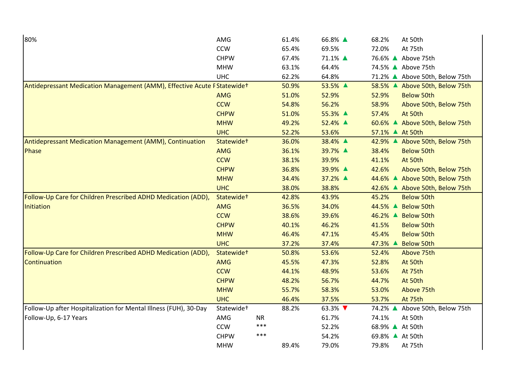| 80%                                                                       | AMG                    |           | 61.4% | 66.8% ▲ | 68.2%           | At 50th                        |
|---------------------------------------------------------------------------|------------------------|-----------|-------|---------|-----------------|--------------------------------|
|                                                                           | <b>CCW</b>             |           | 65.4% | 69.5%   | 72.0%           | At 75th                        |
|                                                                           | <b>CHPW</b>            |           | 67.4% | 71.1% ▲ |                 | 76.6% ▲ Above 75th             |
|                                                                           | <b>MHW</b>             |           | 63.1% | 64.4%   |                 | 74.5% ▲ Above 75th             |
|                                                                           | <b>UHC</b>             |           | 62.2% | 64.8%   |                 | 71.2% ▲ Above 50th, Below 75th |
| Antidepressant Medication Management (AMM), Effective Acute F Statewide + |                        |           | 50.9% | 53.5% ▲ |                 | 58.5% ▲ Above 50th, Below 75th |
|                                                                           | <b>AMG</b>             |           | 51.0% | 52.9%   | 52.9%           | <b>Below 50th</b>              |
|                                                                           | <b>CCW</b>             |           | 54.8% | 56.2%   | 58.9%           | Above 50th, Below 75th         |
|                                                                           | <b>CHPW</b>            |           | 51.0% | 55.3% ▲ | 57.4%           | At 50th                        |
|                                                                           | <b>MHW</b>             |           | 49.2% | 52.4% ▲ |                 | 60.6% ▲ Above 50th, Below 75th |
|                                                                           | <b>UHC</b>             |           | 52.2% | 53.6%   | 57.1% ▲ At 50th |                                |
| Antidepressant Medication Management (AMM), Continuation                  | Statewide+             |           | 36.0% | 38.4% ▲ |                 | 42.9% ▲ Above 50th, Below 75th |
| Phase                                                                     | <b>AMG</b>             |           | 36.1% | 39.7% ▲ | 38.4%           | <b>Below 50th</b>              |
|                                                                           | <b>CCW</b>             |           | 38.1% | 39.9%   | 41.1%           | At 50th                        |
|                                                                           | <b>CHPW</b>            |           | 36.8% | 39.9% ▲ | 42.6%           | Above 50th, Below 75th         |
|                                                                           | <b>MHW</b>             |           | 34.4% | 37.2% ▲ |                 | 44.6% ▲ Above 50th, Below 75th |
|                                                                           | <b>UHC</b>             |           | 38.0% | 38.8%   |                 | 42.6% ▲ Above 50th, Below 75th |
| Follow-Up Care for Children Prescribed ADHD Medication (ADD),             | Statewide <sup>+</sup> |           | 42.8% | 43.9%   | 45.2%           | <b>Below 50th</b>              |
| Initiation                                                                | <b>AMG</b>             |           | 36.5% | 34.0%   |                 | 44.5% ▲ Below 50th             |
|                                                                           | <b>CCW</b>             |           | 38.6% | 39.6%   |                 | 46.2% ▲ Below 50th             |
|                                                                           | <b>CHPW</b>            |           | 40.1% | 46.2%   | 41.5%           | <b>Below 50th</b>              |
|                                                                           | <b>MHW</b>             |           | 46.4% | 47.1%   | 45.4%           | <b>Below 50th</b>              |
|                                                                           | <b>UHC</b>             |           | 37.2% | 37.4%   |                 | 47.3% ▲ Below 50th             |
| Follow-Up Care for Children Prescribed ADHD Medication (ADD),             | Statewide <sup>+</sup> |           | 50.8% | 53.6%   | 52.4%           | Above 75th                     |
| Continuation                                                              | <b>AMG</b>             |           | 45.5% | 47.3%   | 52.8%           | At 50th                        |
|                                                                           | <b>CCW</b>             |           | 44.1% | 48.9%   | 53.6%           | At 75th                        |
|                                                                           | <b>CHPW</b>            |           | 48.2% | 56.7%   | 44.7%           | At 50th                        |
|                                                                           | <b>MHW</b>             |           | 55.7% | 58.3%   | 53.0%           | Above 75th                     |
|                                                                           | <b>UHC</b>             |           | 46.4% | 37.5%   | 53.7%           | At 75th                        |
| Follow-Up after Hospitalization for Mental Illness (FUH), 30-Day          | Statewide <sup>+</sup> |           | 88.2% | 63.3% ▼ |                 | 74.2% ▲ Above 50th, Below 75th |
| Follow-Up, 6-17 Years                                                     | AMG                    | <b>NR</b> |       | 61.7%   | 74.1%           | At 50th                        |
|                                                                           | <b>CCW</b>             | ***       |       | 52.2%   | 68.9% ▲ At 50th |                                |
|                                                                           | <b>CHPW</b>            | ***       |       | 54.2%   | 69.8% ▲ At 50th |                                |
|                                                                           | <b>MHW</b>             |           | 89.4% | 79.0%   | 79.8%           | At 75th                        |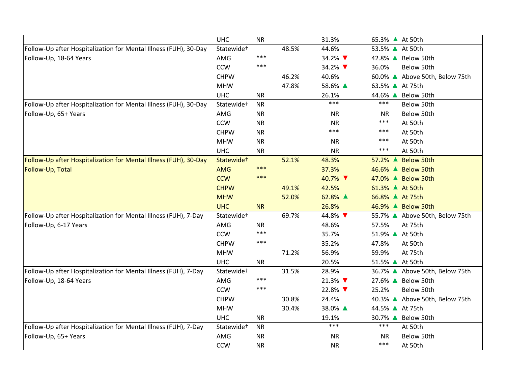|                                                                  | <b>UHC</b>             | <b>NR</b> |       | 31.3%     | 65.3% ▲ At 50th |                                |
|------------------------------------------------------------------|------------------------|-----------|-------|-----------|-----------------|--------------------------------|
| Follow-Up after Hospitalization for Mental Illness (FUH), 30-Day | Statewide <sup>+</sup> |           | 48.5% | 44.6%     | 53.5% ▲ At 50th |                                |
| Follow-Up, 18-64 Years                                           | AMG                    | $***$     |       | 34.2% ▼   |                 | 42.8% A Below 50th             |
|                                                                  | CCW                    | ***       |       | 34.2%     | 36.0%           | Below 50th                     |
|                                                                  | <b>CHPW</b>            |           | 46.2% | 40.6%     |                 | 60.0% ▲ Above 50th, Below 75th |
|                                                                  | <b>MHW</b>             |           | 47.8% | 58.6% ▲   | 63.5% ▲ At 75th |                                |
|                                                                  | <b>UHC</b>             | <b>NR</b> |       | 26.1%     |                 | 44.6% ▲ Below 50th             |
| Follow-Up after Hospitalization for Mental Illness (FUH), 30-Day | Statewide <sup>+</sup> | <b>NR</b> |       | $***$     | $***$           | Below 50th                     |
| Follow-Up, 65+ Years                                             | AMG                    | <b>NR</b> |       | <b>NR</b> | <b>NR</b>       | Below 50th                     |
|                                                                  | <b>CCW</b>             | <b>NR</b> |       | <b>NR</b> | ***             | At 50th                        |
|                                                                  | <b>CHPW</b>            | <b>NR</b> |       | ***       | ***             | At 50th                        |
|                                                                  | <b>MHW</b>             | <b>NR</b> |       | <b>NR</b> | ***             | At 50th                        |
|                                                                  | <b>UHC</b>             | <b>NR</b> |       | <b>NR</b> | ***             | At 50th                        |
| Follow-Up after Hospitalization for Mental Illness (FUH), 30-Day | Statewide <sup>+</sup> |           | 52.1% | 48.3%     |                 | 57.2% ▲ Below 50th             |
| Follow-Up, Total                                                 | <b>AMG</b>             | $***$     |       | 37.3%     |                 | 46.6% ▲ Below 50th             |
|                                                                  | <b>CCW</b>             | ***       |       | 40.7% ▼   |                 | 47.0% ▲ Below 50th             |
|                                                                  | <b>CHPW</b>            |           | 49.1% | 42.5%     | 61.3% ▲ At 50th |                                |
|                                                                  | <b>MHW</b>             |           | 52.0% | 62.8% ▲   | 66.8% ▲ At 75th |                                |
|                                                                  | <b>UHC</b>             | <b>NR</b> |       | 26.8%     |                 | 46.9% ▲ Below 50th             |
| Follow-Up after Hospitalization for Mental Illness (FUH), 7-Day  | Statewide <sup>+</sup> |           | 69.7% | 44.8% ▼   |                 | 55.7% ▲ Above 50th, Below 75th |
| Follow-Up, 6-17 Years                                            | AMG                    | <b>NR</b> |       | 48.6%     | 57.5%           | At 75th                        |
|                                                                  | <b>CCW</b>             | ***       |       | 35.7%     | 51.9% ▲ At 50th |                                |
|                                                                  | <b>CHPW</b>            | ***       |       | 35.2%     | 47.8%           | At 50th                        |
|                                                                  | <b>MHW</b>             |           | 71.2% | 56.9%     | 59.9%           | At 75th                        |
|                                                                  | <b>UHC</b>             | <b>NR</b> |       | 20.5%     | 51.5% ▲ At 50th |                                |
| Follow-Up after Hospitalization for Mental Illness (FUH), 7-Day  | Statewide <sup>+</sup> |           | 31.5% | 28.9%     |                 | 36.7% ▲ Above 50th, Below 75th |
| Follow-Up, 18-64 Years                                           | AMG                    | ***       |       | 21.3% ▼   |                 | 27.6% ▲ Below 50th             |
|                                                                  | <b>CCW</b>             | ***       |       | 22.8% ▼   | 25.2%           | Below 50th                     |
|                                                                  | <b>CHPW</b>            |           | 30.8% | 24.4%     |                 | 40.3% ▲ Above 50th, Below 75th |
|                                                                  | <b>MHW</b>             |           | 30.4% | 38.0% ▲   | 44.5% ▲ At 75th |                                |
|                                                                  | <b>UHC</b>             | <b>NR</b> |       | 19.1%     | 30.7% ▲         | Below 50th                     |
| Follow-Up after Hospitalization for Mental Illness (FUH), 7-Day  | Statewide <sup>+</sup> | <b>NR</b> |       | $***$     | $***$           | At 50th                        |
| Follow-Up, 65+ Years                                             | AMG                    | <b>NR</b> |       | <b>NR</b> | <b>NR</b>       | Below 50th                     |
|                                                                  | <b>CCW</b>             | <b>NR</b> |       | <b>NR</b> | ***             | At 50th                        |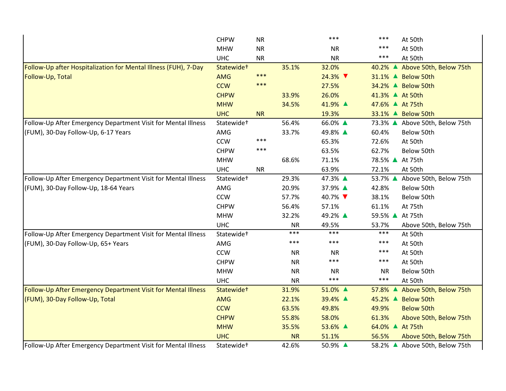|                                                                 | <b>CHPW</b>            | <b>NR</b> |           | ***       | ***             | At 50th                        |
|-----------------------------------------------------------------|------------------------|-----------|-----------|-----------|-----------------|--------------------------------|
|                                                                 | <b>MHW</b>             | <b>NR</b> |           | <b>NR</b> | ***             | At 50th                        |
|                                                                 | <b>UHC</b>             | <b>NR</b> |           | <b>NR</b> | ***             | At 50th                        |
| Follow-Up after Hospitalization for Mental Illness (FUH), 7-Day | Statewide <sup>+</sup> |           | 35.1%     | 32.0%     |                 | 40.2% ▲ Above 50th, Below 75th |
| Follow-Up, Total                                                | <b>AMG</b>             | $***$     |           | 24.3% ▼   |                 | 31.1% ▲ Below 50th             |
|                                                                 | <b>CCW</b>             | ***       |           | 27.5%     |                 | 34.2% ▲ Below 50th             |
|                                                                 | <b>CHPW</b>            |           | 33.9%     | 26.0%     | 41.3% ▲ At 50th |                                |
|                                                                 | <b>MHW</b>             |           | 34.5%     | 41.9% ▲   | 47.6% ▲ At 75th |                                |
|                                                                 | <b>UHC</b>             | <b>NR</b> |           | 19.3%     |                 | 33.1% ▲ Below 50th             |
| Follow-Up After Emergency Department Visit for Mental Illness   | Statewide <sup>+</sup> |           | 56.4%     | 66.0% ▲   |                 | 73.3% ▲ Above 50th, Below 75th |
| (FUM), 30-Day Follow-Up, 6-17 Years                             | AMG                    |           | 33.7%     | 49.8% ▲   | 60.4%           | Below 50th                     |
|                                                                 | <b>CCW</b>             | ***       |           | 65.3%     | 72.6%           | At 50th                        |
|                                                                 | <b>CHPW</b>            | ***       |           | 63.5%     | 62.7%           | Below 50th                     |
|                                                                 | <b>MHW</b>             |           | 68.6%     | 71.1%     | 78.5% ▲ At 75th |                                |
|                                                                 | <b>UHC</b>             | <b>NR</b> |           | 63.9%     | 72.1%           | At 50th                        |
| Follow-Up After Emergency Department Visit for Mental Illness   | Statewide <sup>+</sup> |           | 29.3%     | 47.3% ▲   | 53.7% ▲         | Above 50th, Below 75th         |
| (FUM), 30-Day Follow-Up, 18-64 Years                            | AMG                    |           | 20.9%     | 37.9% ▲   | 42.8%           | Below 50th                     |
|                                                                 | <b>CCW</b>             |           | 57.7%     | 40.7% ▼   | 38.1%           | Below 50th                     |
|                                                                 | <b>CHPW</b>            |           | 56.4%     | 57.1%     | 61.1%           | At 75th                        |
|                                                                 | <b>MHW</b>             |           | 32.2%     | 49.2% ▲   | 59.5% ▲ At 75th |                                |
|                                                                 | <b>UHC</b>             |           | <b>NR</b> | 49.5%     | 53.7%           | Above 50th, Below 75th         |
| Follow-Up After Emergency Department Visit for Mental Illness   | Statewide <sup>+</sup> |           | ***       | $***$     | ***             | At 50th                        |
| (FUM), 30-Day Follow-Up, 65+ Years                              | AMG                    |           | ***       | $***$     | ***             | At 50th                        |
|                                                                 | <b>CCW</b>             |           | <b>NR</b> | <b>NR</b> | ***             | At 50th                        |
|                                                                 | <b>CHPW</b>            |           | <b>NR</b> | ***       | ***             | At 50th                        |
|                                                                 | <b>MHW</b>             |           | <b>NR</b> | <b>NR</b> | <b>NR</b>       | Below 50th                     |
|                                                                 | <b>UHC</b>             |           | <b>NR</b> | ***       | ***             | At 50th                        |
| Follow-Up After Emergency Department Visit for Mental Illness   | Statewide <sup>+</sup> |           | 31.9%     | 51.0% ▲   | 57.8% ▲         | Above 50th, Below 75th         |
| (FUM), 30-Day Follow-Up, Total                                  | <b>AMG</b>             |           | 22.1%     | 39.4% ▲   |                 | 45.2% ▲ Below 50th             |
|                                                                 | <b>CCW</b>             |           | 63.5%     | 49.8%     | 49.9%           | <b>Below 50th</b>              |
|                                                                 | <b>CHPW</b>            |           | 55.8%     | 58.0%     | 61.3%           | Above 50th, Below 75th         |
|                                                                 | <b>MHW</b>             |           | 35.5%     | 53.6% ▲   | 64.0% ▲ At 75th |                                |
|                                                                 | <b>UHC</b>             |           | <b>NR</b> | 51.1%     | 56.5%           | Above 50th, Below 75th         |
| Follow-Up After Emergency Department Visit for Mental Illness   | Statewide <sup>+</sup> |           | 42.6%     | 50.9% ▲   |                 | 58.2% ▲ Above 50th, Below 75th |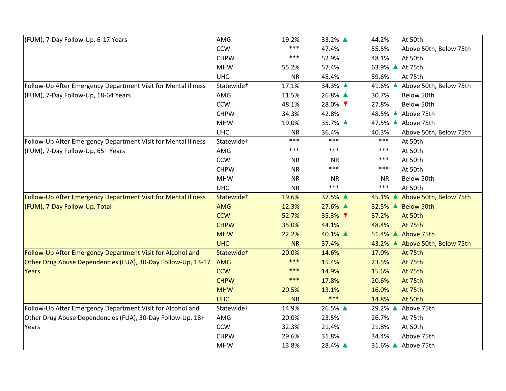| (FUM), 7-Day Follow-Up, 6-17 Years                            | AMG                    | 19.2%     | 33.2% ▲   | 44.2%     | At 50th                        |
|---------------------------------------------------------------|------------------------|-----------|-----------|-----------|--------------------------------|
|                                                               | <b>CCW</b>             | $***$     | 47.4%     | 55.5%     | Above 50th, Below 75th         |
|                                                               | <b>CHPW</b>            | $***$     | 52.9%     | 48.1%     | At 50th                        |
|                                                               | <b>MHW</b>             | 55.2%     | 57.4%     |           | 63.9% ▲ At 75th                |
|                                                               | <b>UHC</b>             | <b>NR</b> | 45.4%     | 59.6%     | At 75th                        |
| Follow-Up After Emergency Department Visit for Mental Illness | Statewide <sup>+</sup> | 17.1%     | 34.3% ▲   | 41.6% ▲   | Above 50th, Below 75th         |
| (FUM), 7-Day Follow-Up, 18-64 Years                           | AMG                    | 11.5%     | 26.8% ▲   | 30.7%     | Below 50th                     |
|                                                               | <b>CCW</b>             | 48.1%     | 28.0% ▼   | 27.8%     | Below 50th                     |
|                                                               | <b>CHPW</b>            | 34.3%     | 42.8%     | 48.5% ▲   | Above 75th                     |
|                                                               | <b>MHW</b>             | 19.0%     | 35.7% ▲   |           | 47.5% ▲ Above 75th             |
|                                                               | <b>UHC</b>             | <b>NR</b> | 36.4%     | 40.3%     | Above 50th, Below 75th         |
| Follow-Up After Emergency Department Visit for Mental Illness | Statewide <sup>+</sup> | $***$     | ***       | $***$     | At 50th                        |
| (FUM), 7-Day Follow-Up, 65+ Years                             | AMG                    | $***$     | $***$     | ***       | At 50th                        |
|                                                               | <b>CCW</b>             | <b>NR</b> | <b>NR</b> | ***       | At 50th                        |
|                                                               | <b>CHPW</b>            | <b>NR</b> | ***       | ***       | At 50th                        |
|                                                               | <b>MHW</b>             | <b>NR</b> | <b>NR</b> | <b>NR</b> | Below 50th                     |
|                                                               | <b>UHC</b>             | <b>NR</b> | ***       | $***$     | At 50th                        |
| Follow-Up After Emergency Department Visit for Mental Illness | Statewide <sup>+</sup> | 19.6%     | 37.5% ▲   | 45.1% ▲   | Above 50th, Below 75th         |
| (FUM), 7-Day Follow-Up, Total                                 | <b>AMG</b>             | 12.3%     | 27.6% ▲   |           | 32.5% ▲ Below 50th             |
|                                                               | <b>CCW</b>             | 52.7%     | 35.3% ▼   | 37.2%     | At 50th                        |
|                                                               | <b>CHPW</b>            | 35.0%     | 44.1%     | 48.4%     | At 75th                        |
|                                                               | <b>MHW</b>             | 22.2%     | 40.1% ▲   |           | 51.4% ▲ Above 75th             |
|                                                               | <b>UHC</b>             | <b>NR</b> | 37.4%     |           | 43.2% ▲ Above 50th, Below 75th |
| Follow-Up After Emergency Department Visit for Alcohol and    | Statewide <sup>+</sup> | 20.0%     | 14.6%     | 17.0%     | At 75th                        |
| Other Drug Abuse Dependencies (FUA), 30-Day Follow-Up, 13-17  | <b>AMG</b>             | $***$     | 15.4%     | 23.5%     | At 75th                        |
| <b>Years</b>                                                  | <b>CCW</b>             | $***$     | 14.9%     | 15.6%     | At 75th                        |
|                                                               | <b>CHPW</b>            | $***$     | 17.8%     | 20.6%     | At 75th                        |
|                                                               | <b>MHW</b>             | 20.5%     | 13.1%     | 16.0%     | At 75th                        |
|                                                               | <b>UHC</b>             | <b>NR</b> | $***$     | 14.8%     | At 50th                        |
| Follow-Up After Emergency Department Visit for Alcohol and    | Statewide <sup>+</sup> | 14.9%     | 26.5% ▲   | 29.2% ▲   | Above 75th                     |
| Other Drug Abuse Dependencies (FUA), 30-Day Follow-Up, 18+    | AMG                    | 20.0%     | 23.5%     | 26.7%     | At 75th                        |
| Years                                                         | <b>CCW</b>             | 32.3%     | 21.4%     | 21.8%     | At 50th                        |
|                                                               | <b>CHPW</b>            | 29.6%     | 31.8%     | 34.4%     | Above 75th                     |
|                                                               | <b>MHW</b>             | 13.8%     | 28.4% ▲   |           | 31.6% ▲ Above 75th             |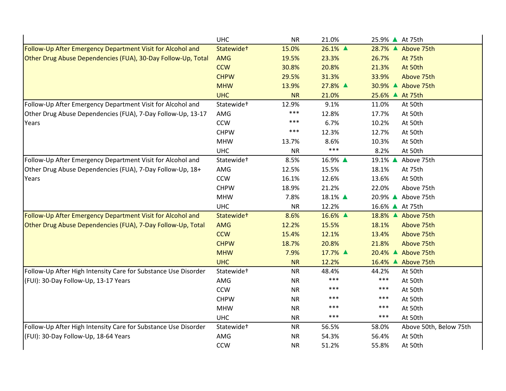|                                                                | <b>UHC</b>             | <b>NR</b> | 21.0%   | 25.9% ▲ At 75th                 |
|----------------------------------------------------------------|------------------------|-----------|---------|---------------------------------|
| Follow-Up After Emergency Department Visit for Alcohol and     | Statewide <sup>+</sup> | 15.0%     | 26.1% ▲ | 28.7% ▲ Above 75th              |
| Other Drug Abuse Dependencies (FUA), 30-Day Follow-Up, Total   | <b>AMG</b>             | 19.5%     | 23.3%   | 26.7%<br>At 75th                |
|                                                                | <b>CCW</b>             | 30.8%     | 20.8%   | 21.3%<br>At 50th                |
|                                                                | <b>CHPW</b>            | 29.5%     | 31.3%   | 33.9%<br>Above 75th             |
|                                                                | <b>MHW</b>             | 13.9%     | 27.8% ▲ | 30.9% ▲ Above 75th              |
|                                                                | <b>UHC</b>             | <b>NR</b> | 21.0%   | 25.6% ▲ At 75th                 |
| Follow-Up After Emergency Department Visit for Alcohol and     | Statewide <sup>+</sup> | 12.9%     | 9.1%    | 11.0%<br>At 50th                |
| Other Drug Abuse Dependencies (FUA), 7-Day Follow-Up, 13-17    | AMG                    | $***$     | 12.8%   | 17.7%<br>At 50th                |
| Years                                                          | <b>CCW</b>             | $***$     | 6.7%    | 10.2%<br>At 50th                |
|                                                                | <b>CHPW</b>            | ***       | 12.3%   | 12.7%<br>At 50th                |
|                                                                | <b>MHW</b>             | 13.7%     | 8.6%    | 10.3%<br>At 50th                |
|                                                                | <b>UHC</b>             | <b>NR</b> | $***$   | 8.2%<br>At 50th                 |
| Follow-Up After Emergency Department Visit for Alcohol and     | Statewide <sup>+</sup> | 8.5%      | 16.9% ▲ | 19.1% ▲ Above 75th              |
| Other Drug Abuse Dependencies (FUA), 7-Day Follow-Up, 18+      | AMG                    | 12.5%     | 15.5%   | 18.1%<br>At 75th                |
| Years                                                          | <b>CCW</b>             | 16.1%     | 12.6%   | 13.6%<br>At 50th                |
|                                                                | <b>CHPW</b>            | 18.9%     | 21.2%   | 22.0%<br>Above 75th             |
|                                                                | <b>MHW</b>             | 7.8%      | 18.1% ▲ | 20.9% ▲ Above 75th              |
|                                                                | <b>UHC</b>             | <b>NR</b> | 12.2%   | 16.6% ▲ At 75th                 |
| Follow-Up After Emergency Department Visit for Alcohol and     | Statewide <sup>+</sup> | 8.6%      | 16.6% ▲ | 18.8% ▲ Above 75th              |
| Other Drug Abuse Dependencies (FUA), 7-Day Follow-Up, Total    | <b>AMG</b>             | 12.2%     | 15.5%   | 18.1%<br>Above 75th             |
|                                                                | <b>CCW</b>             | 15.4%     | 12.1%   | 13.4%<br>Above 75th             |
|                                                                | <b>CHPW</b>            | 18.7%     | 20.8%   | 21.8%<br>Above 75th             |
|                                                                | <b>MHW</b>             | 7.9%      | 17.7% ▲ | 20.4% ▲ Above 75th              |
|                                                                | <b>UHC</b>             | <b>NR</b> | 12.2%   | 16.4% ▲ Above 75th              |
| Follow-Up After High Intensity Care for Substance Use Disorder | Statewide <sup>+</sup> | <b>NR</b> | 48.4%   | 44.2%<br>At 50th                |
| (FUI): 30-Day Follow-Up, 13-17 Years                           | AMG                    | <b>NR</b> | ***     | $***$<br>At 50th                |
|                                                                | <b>CCW</b>             | <b>NR</b> | ***     | ***<br>At 50th                  |
|                                                                | <b>CHPW</b>            | <b>NR</b> | $***$   | $***$<br>At 50th                |
|                                                                | <b>MHW</b>             | <b>NR</b> | ***     | $***$<br>At 50th                |
|                                                                | <b>UHC</b>             | <b>NR</b> | ***     | ***<br>At 50th                  |
| Follow-Up After High Intensity Care for Substance Use Disorder | Statewide <sup>+</sup> | <b>NR</b> | 56.5%   | 58.0%<br>Above 50th, Below 75th |
| (FUI): 30-Day Follow-Up, 18-64 Years                           | AMG                    | <b>NR</b> | 54.3%   | 56.4%<br>At 50th                |
|                                                                | <b>CCW</b>             | <b>NR</b> | 51.2%   | 55.8%<br>At 50th                |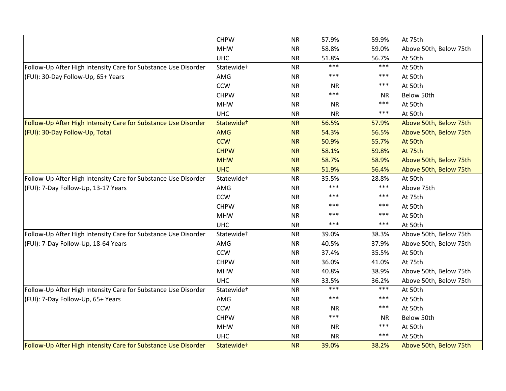|                                                                | <b>CHPW</b>            | <b>NR</b> | 57.9%     | 59.9%     | At 75th                |
|----------------------------------------------------------------|------------------------|-----------|-----------|-----------|------------------------|
|                                                                | <b>MHW</b>             | <b>NR</b> | 58.8%     | 59.0%     | Above 50th, Below 75th |
|                                                                | <b>UHC</b>             | <b>NR</b> | 51.8%     | 56.7%     | At 50th                |
| Follow-Up After High Intensity Care for Substance Use Disorder | Statewide <sup>+</sup> | <b>NR</b> | ***       | $***$     | At 50th                |
| (FUI): 30-Day Follow-Up, 65+ Years                             | AMG                    | <b>NR</b> | ***       | ***       | At 50th                |
|                                                                | <b>CCW</b>             | <b>NR</b> | <b>NR</b> | ***       | At 50th                |
|                                                                | <b>CHPW</b>            | <b>NR</b> | ***       | <b>NR</b> | Below 50th             |
|                                                                | <b>MHW</b>             | <b>NR</b> | <b>NR</b> | ***       | At 50th                |
|                                                                | <b>UHC</b>             | <b>NR</b> | <b>NR</b> | ***       | At 50th                |
| Follow-Up After High Intensity Care for Substance Use Disorder | Statewide <sup>+</sup> | <b>NR</b> | 56.5%     | 57.9%     | Above 50th, Below 75th |
| (FUI): 30-Day Follow-Up, Total                                 | <b>AMG</b>             | <b>NR</b> | 54.3%     | 56.5%     | Above 50th, Below 75th |
|                                                                | <b>CCW</b>             | <b>NR</b> | 50.9%     | 55.7%     | At 50th                |
|                                                                | <b>CHPW</b>            | <b>NR</b> | 58.1%     | 59.8%     | At 75th                |
|                                                                | <b>MHW</b>             | <b>NR</b> | 58.7%     | 58.9%     | Above 50th, Below 75th |
|                                                                | <b>UHC</b>             | <b>NR</b> | 51.9%     | 56.4%     | Above 50th, Below 75th |
| Follow-Up After High Intensity Care for Substance Use Disorder | Statewide <sup>+</sup> | <b>NR</b> | 35.5%     | 28.8%     | At 50th                |
| (FUI): 7-Day Follow-Up, 13-17 Years                            | AMG                    | <b>NR</b> | ***       | $***$     | Above 75th             |
|                                                                | <b>CCW</b>             | <b>NR</b> | ***       | ***       | At 75th                |
|                                                                | <b>CHPW</b>            | <b>NR</b> | ***       | $***$     | At 50th                |
|                                                                | <b>MHW</b>             | <b>NR</b> | ***       | ***       | At 50th                |
|                                                                | <b>UHC</b>             | <b>NR</b> | ***       | ***       | At 50th                |
| Follow-Up After High Intensity Care for Substance Use Disorder | Statewide <sup>+</sup> | <b>NR</b> | 39.0%     | 38.3%     | Above 50th, Below 75th |
| (FUI): 7-Day Follow-Up, 18-64 Years                            | AMG                    | <b>NR</b> | 40.5%     | 37.9%     | Above 50th, Below 75th |
|                                                                | <b>CCW</b>             | <b>NR</b> | 37.4%     | 35.5%     | At 50th                |
|                                                                | <b>CHPW</b>            | <b>NR</b> | 36.0%     | 41.0%     | At 75th                |
|                                                                | <b>MHW</b>             | <b>NR</b> | 40.8%     | 38.9%     | Above 50th, Below 75th |
|                                                                | <b>UHC</b>             | <b>NR</b> | 33.5%     | 36.2%     | Above 50th, Below 75th |
| Follow-Up After High Intensity Care for Substance Use Disorder | Statewide <sup>+</sup> | <b>NR</b> | ***       | $***$     | At 50th                |
| (FUI): 7-Day Follow-Up, 65+ Years                              | AMG                    | <b>NR</b> | ***       | ***       | At 50th                |
|                                                                | <b>CCW</b>             | <b>NR</b> | <b>NR</b> | ***       | At 50th                |
|                                                                | <b>CHPW</b>            | <b>NR</b> | ***       | <b>NR</b> | Below 50th             |
|                                                                | <b>MHW</b>             | <b>NR</b> | <b>NR</b> | ***       | At 50th                |
|                                                                | <b>UHC</b>             | <b>NR</b> | <b>NR</b> | ***       | At 50th                |
| Follow-Up After High Intensity Care for Substance Use Disorder | Statewide+             | <b>NR</b> | 39.0%     | 38.2%     | Above 50th, Below 75th |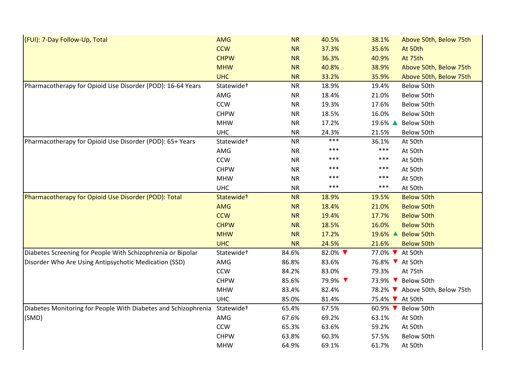| (FUI): 7-Day Follow-Up, Total                                  | <b>AMG</b>             | <b>NR</b> | 40.5%   | 38.1%                      | Above 50th, Below 75th         |
|----------------------------------------------------------------|------------------------|-----------|---------|----------------------------|--------------------------------|
|                                                                | <b>CCW</b>             | <b>NR</b> | 37.3%   | 35.6%                      | At 50th                        |
|                                                                | <b>CHPW</b>            | <b>NR</b> | 36.3%   | 40.9%                      | At 75th                        |
|                                                                | <b>MHW</b>             | <b>NR</b> | 40.8%   | 38.9%                      | Above 50th, Below 75th         |
|                                                                | <b>UHC</b>             | <b>NR</b> | 33.2%   | 35.9%                      | Above 50th, Below 75th         |
| Pharmacotherapy for Opioid Use Disorder (POD): 16-64 Years     | Statewide <sup>+</sup> | <b>NR</b> | 18.9%   | 19.4%                      | Below 50th                     |
|                                                                | AMG                    | <b>NR</b> | 18.4%   | 21.0%                      | Below 50th                     |
|                                                                | <b>CCW</b>             | <b>NR</b> | 19.3%   | 17.6%                      | Below 50th                     |
|                                                                | <b>CHPW</b>            | <b>NR</b> | 18.5%   | 16.0%                      | Below 50th                     |
|                                                                | <b>MHW</b>             | <b>NR</b> | 17.2%   | 19.6% ▲                    | Below 50th                     |
|                                                                | <b>UHC</b>             | <b>NR</b> | 24.3%   | 21.5%                      | Below 50th                     |
| Pharmacotherapy for Opioid Use Disorder (POD): 65+ Years       | Statewide <sup>+</sup> | <b>NR</b> | ***     | 36.1%                      | At 50th                        |
|                                                                | AMG                    | <b>NR</b> | ***     | $***$                      | At 50th                        |
|                                                                | <b>CCW</b>             | <b>NR</b> | ***     | ***                        | At 50th                        |
|                                                                | <b>CHPW</b>            | <b>NR</b> | ***     | ***                        | At 50th                        |
|                                                                | <b>MHW</b>             | <b>NR</b> | ***     | ***                        | At 50th                        |
|                                                                | <b>UHC</b>             | <b>NR</b> | ***     | ***                        | At 50th                        |
| Pharmacotherapy for Opioid Use Disorder (POD): Total           | Statewide <sup>+</sup> | <b>NR</b> | 18.9%   | 19.5%                      | <b>Below 50th</b>              |
|                                                                | <b>AMG</b>             | <b>NR</b> | 18.4%   | 21.0%                      | <b>Below 50th</b>              |
|                                                                | <b>CCW</b>             | <b>NR</b> | 19.4%   | 17.7%                      | <b>Below 50th</b>              |
|                                                                | <b>CHPW</b>            | <b>NR</b> | 18.5%   | 16.0%                      | <b>Below 50th</b>              |
|                                                                | <b>MHW</b>             | <b>NR</b> | 17.2%   | 19.6% ▲                    | <b>Below 50th</b>              |
|                                                                | <b>UHC</b>             | <b>NR</b> | 24.5%   | 21.6%                      | <b>Below 50th</b>              |
| Diabetes Screening for People With Schizophrenia or Bipolar    | Statewide <sup>+</sup> | 84.6%     | 82.0% ▼ | 77.0% ▼ At 50th            |                                |
| Disorder Who Are Using Antipsychotic Medication (SSD)          | AMG                    | 86.8%     | 83.6%   | 76.8% V At 50th            |                                |
|                                                                | <b>CCW</b>             | 84.2%     | 83.0%   | 79.3%                      | At 75th                        |
|                                                                | <b>CHPW</b>            | 85.6%     | 79.9% ▼ | 73.9% ▼                    | Below 50th                     |
|                                                                | <b>MHW</b>             | 83.4%     | 82.4%   |                            | 78.2% ▼ Above 50th, Below 75th |
|                                                                | <b>UHC</b>             | 85.0%     | 81.4%   | 75.4% V At 50th            |                                |
| Diabetes Monitoring for People With Diabetes and Schizophrenia | Statewide <sup>+</sup> | 65.4%     | 67.5%   | 60.9% $\blacktriangledown$ | Below 50th                     |
| (SMD)                                                          | AMG                    | 67.6%     | 69.2%   | 63.1%                      | At 50th                        |
|                                                                | CCW                    | 65.3%     | 63.6%   | 59.2%                      | At 50th                        |
|                                                                | <b>CHPW</b>            | 63.8%     | 60.3%   | 57.5%                      | Below 50th                     |
|                                                                | <b>MHW</b>             | 64.9%     | 69.1%   | 61.7%                      | At 50th                        |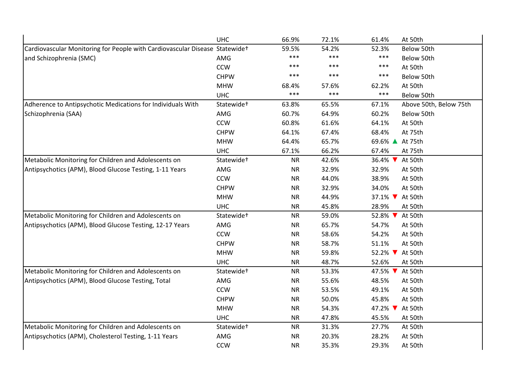|                                                                             | <b>UHC</b>             | 66.9%     | 72.1% | 61.4%                         | At 50th                |
|-----------------------------------------------------------------------------|------------------------|-----------|-------|-------------------------------|------------------------|
| Cardiovascular Monitoring for People with Cardiovascular Disease Statewidet |                        | 59.5%     | 54.2% | 52.3%                         | Below 50th             |
| and Schizophrenia (SMC)                                                     | AMG                    | $***$     | ***   | $***$                         | Below 50th             |
|                                                                             | <b>CCW</b>             | $***$     | ***   | $***$                         | At 50th                |
|                                                                             | <b>CHPW</b>            | $***$     | ***   | $***$                         | Below 50th             |
|                                                                             | <b>MHW</b>             | 68.4%     | 57.6% | 62.2%                         | At 50th                |
|                                                                             | <b>UHC</b>             | $***$     | ***   | $***$                         | Below 50th             |
| Adherence to Antipsychotic Medications for Individuals With                 | Statewide <sup>+</sup> | 63.8%     | 65.5% | 67.1%                         | Above 50th, Below 75th |
| Schizophrenia (SAA)                                                         | AMG                    | 60.7%     | 64.9% | 60.2%                         | Below 50th             |
|                                                                             | <b>CCW</b>             | 60.8%     | 61.6% | 64.1%                         | At 50th                |
|                                                                             | <b>CHPW</b>            | 64.1%     | 67.4% | 68.4%                         | At 75th                |
|                                                                             | <b>MHW</b>             | 64.4%     | 65.7% | 69.6% ▲ At 75th               |                        |
|                                                                             | <b>UHC</b>             | 67.1%     | 66.2% | 67.4%                         | At 75th                |
| Metabolic Monitoring for Children and Adolescents on                        | Statewide <sup>+</sup> | <b>NR</b> | 42.6% | 36.4% ▼                       | At 50th                |
| Antipsychotics (APM), Blood Glucose Testing, 1-11 Years                     | AMG                    | <b>NR</b> | 32.9% | 32.9%                         | At 50th                |
|                                                                             | <b>CCW</b>             | <b>NR</b> | 44.0% | 38.9%                         | At 50th                |
|                                                                             | <b>CHPW</b>            | <b>NR</b> | 32.9% | 34.0%                         | At 50th                |
|                                                                             | <b>MHW</b>             | <b>NR</b> | 44.9% | 37.1% At 50th                 |                        |
|                                                                             | <b>UHC</b>             | <b>NR</b> | 45.8% | 28.9%                         | At 50th                |
| Metabolic Monitoring for Children and Adolescents on                        | Statewide <sup>+</sup> | <b>NR</b> | 59.0% | 52.8% ▼                       | At 50th                |
| Antipsychotics (APM), Blood Glucose Testing, 12-17 Years                    | AMG                    | <b>NR</b> | 65.7% | 54.7%                         | At 50th                |
|                                                                             | <b>CCW</b>             | <b>NR</b> | 58.6% | 54.2%                         | At 50th                |
|                                                                             | <b>CHPW</b>            | <b>NR</b> | 58.7% | 51.1%                         | At 50th                |
|                                                                             | <b>MHW</b>             | <b>NR</b> | 59.8% | $52.2\%$ $\blacktriangledown$ | At 50th                |
|                                                                             | <b>UHC</b>             | <b>NR</b> | 48.7% | 52.6%                         | At 50th                |
| Metabolic Monitoring for Children and Adolescents on                        | Statewide <sup>+</sup> | <b>NR</b> | 53.3% | 47.5% $\blacktriangledown$    | At 50th                |
| Antipsychotics (APM), Blood Glucose Testing, Total                          | AMG                    | <b>NR</b> | 55.6% | 48.5%                         | At 50th                |
|                                                                             | <b>CCW</b>             | <b>NR</b> | 53.5% | 49.1%                         | At 50th                |
|                                                                             | <b>CHPW</b>            | <b>NR</b> | 50.0% | 45.8%                         | At 50th                |
|                                                                             | <b>MHW</b>             | <b>NR</b> | 54.3% | 47.2% $\blacktriangledown$    | At 50th                |
|                                                                             | <b>UHC</b>             | <b>NR</b> | 47.8% | 45.5%                         | At 50th                |
| Metabolic Monitoring for Children and Adolescents on                        | Statewide <sup>+</sup> | <b>NR</b> | 31.3% | 27.7%                         | At 50th                |
| Antipsychotics (APM), Cholesterol Testing, 1-11 Years                       | AMG                    | <b>NR</b> | 20.3% | 28.2%                         | At 50th                |
|                                                                             | <b>CCW</b>             | <b>NR</b> | 35.3% | 29.3%                         | At 50th                |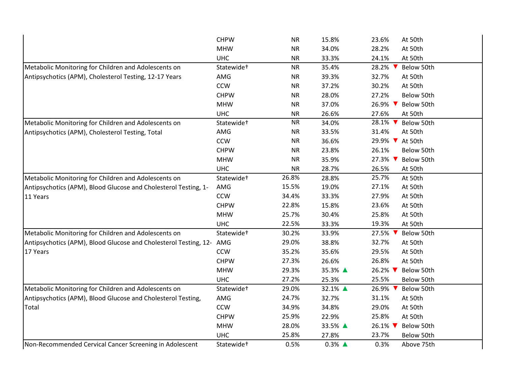|                                                                  | <b>CHPW</b>            | <b>NR</b> | 15.8%               | 23.6%<br>At 50th      |
|------------------------------------------------------------------|------------------------|-----------|---------------------|-----------------------|
|                                                                  | <b>MHW</b>             | <b>NR</b> | 34.0%               | 28.2%<br>At 50th      |
|                                                                  | <b>UHC</b>             | <b>NR</b> | 33.3%               | 24.1%<br>At 50th      |
| Metabolic Monitoring for Children and Adolescents on             | Statewide <sup>+</sup> | <b>NR</b> | 35.4%               | 28.2%<br>Below 50th   |
| Antipsychotics (APM), Cholesterol Testing, 12-17 Years           | AMG                    | <b>NR</b> | 39.3%               | 32.7%<br>At 50th      |
|                                                                  | <b>CCW</b>             | <b>NR</b> | 37.2%               | 30.2%<br>At 50th      |
|                                                                  | <b>CHPW</b>            | <b>NR</b> | 28.0%               | 27.2%<br>Below 50th   |
|                                                                  | <b>MHW</b>             | <b>NR</b> | 37.0%               | 26.9% ▼<br>Below 50th |
|                                                                  | <b>UHC</b>             | <b>NR</b> | 26.6%               | 27.6%<br>At 50th      |
| Metabolic Monitoring for Children and Adolescents on             | Statewide <sup>+</sup> | <b>NR</b> | 34.0%               | 28.1% ▼<br>Below 50th |
| Antipsychotics (APM), Cholesterol Testing, Total                 | AMG                    | <b>NR</b> | 33.5%               | 31.4%<br>At 50th      |
|                                                                  | <b>CCW</b>             | <b>NR</b> | 36.6%               | 29.9% ▼<br>At 50th    |
|                                                                  | <b>CHPW</b>            | <b>NR</b> | 23.8%               | 26.1%<br>Below 50th   |
|                                                                  | <b>MHW</b>             | <b>NR</b> | 35.9%               | 27.3% ▼<br>Below 50th |
|                                                                  | <b>UHC</b>             | NR        | 28.7%               | 26.5%<br>At 50th      |
| Metabolic Monitoring for Children and Adolescents on             | Statewide <sup>+</sup> | 26.8%     | 28.8%               | 25.7%<br>At 50th      |
| Antipsychotics (APM), Blood Glucose and Cholesterol Testing, 1-  | AMG                    | 15.5%     | 19.0%               | 27.1%<br>At 50th      |
| 11 Years                                                         | <b>CCW</b>             | 34.4%     | 33.3%               | 27.9%<br>At 50th      |
|                                                                  | <b>CHPW</b>            | 22.8%     | 15.8%               | 23.6%<br>At 50th      |
|                                                                  | <b>MHW</b>             | 25.7%     | 30.4%               | 25.8%<br>At 50th      |
|                                                                  | <b>UHC</b>             | 22.5%     | 33.3%               | 19.3%<br>At 50th      |
| Metabolic Monitoring for Children and Adolescents on             | Statewide <sup>+</sup> | 30.2%     | 33.9%               | 27.5% ▼<br>Below 50th |
| Antipsychotics (APM), Blood Glucose and Cholesterol Testing, 12- | AMG                    | 29.0%     | 38.8%               | 32.7%<br>At 50th      |
| 17 Years                                                         | <b>CCW</b>             | 35.2%     | 35.6%               | 29.5%<br>At 50th      |
|                                                                  | <b>CHPW</b>            | 27.3%     | 26.6%               | 26.8%<br>At 50th      |
|                                                                  | <b>MHW</b>             | 29.3%     | 35.3% ▲             | 26.2% ▼<br>Below 50th |
|                                                                  | <b>UHC</b>             | 27.2%     | 25.3%               | 25.5%<br>Below 50th   |
| Metabolic Monitoring for Children and Adolescents on             | Statewide <sup>+</sup> | 29.0%     | 32.1% ▲             | 26.9% ▼<br>Below 50th |
| Antipsychotics (APM), Blood Glucose and Cholesterol Testing,     | AMG                    | 24.7%     | 32.7%               | 31.1%<br>At 50th      |
| Total                                                            | <b>CCW</b>             | 34.9%     | 34.8%               | 29.0%<br>At 50th      |
|                                                                  | <b>CHPW</b>            | 25.9%     | 22.9%               | 25.8%<br>At 50th      |
|                                                                  | <b>MHW</b>             | 28.0%     | 33.5% ▲             | 26.1%<br>Below 50th   |
|                                                                  | <b>UHC</b>             | 25.8%     | 27.8%               | 23.7%<br>Below 50th   |
| Non-Recommended Cervical Cancer Screening in Adolescent          | Statewide <sup>+</sup> | 0.5%      | $0.3\%$ $\triangle$ | 0.3%<br>Above 75th    |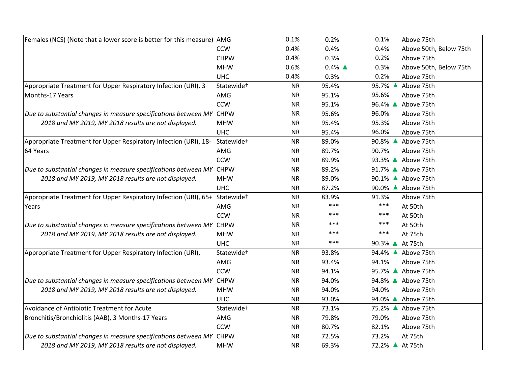| Females (NCS) (Note that a lower score is better for this measure) AMG |                        | 0.1%      | 0.2%                | 0.1%<br>Above 75th              |
|------------------------------------------------------------------------|------------------------|-----------|---------------------|---------------------------------|
|                                                                        | <b>CCW</b>             | 0.4%      | 0.4%                | 0.4%<br>Above 50th, Below 75th  |
|                                                                        | <b>CHPW</b>            | 0.4%      | 0.3%                | 0.2%<br>Above 75th              |
|                                                                        | <b>MHW</b>             | 0.6%      | $0.4\%$ $\triangle$ | 0.3%<br>Above 50th, Below 75th  |
|                                                                        | <b>UHC</b>             | 0.4%      | 0.3%                | 0.2%<br>Above 75th              |
| Appropriate Treatment for Upper Respiratory Infection (URI), 3         | Statewide <sup>+</sup> | <b>NR</b> | 95.4%               | 95.7% ▲<br>Above 75th           |
| Months-17 Years                                                        | AMG                    | <b>NR</b> | 95.1%               | 95.6%<br>Above 75th             |
|                                                                        | <b>CCW</b>             | <b>NR</b> | 95.1%               | 96.4% ▲ Above 75th              |
| Due to substantial changes in measure specifications between MY CHPW   |                        | <b>NR</b> | 95.6%               | 96.0%<br>Above 75th             |
| 2018 and MY 2019, MY 2018 results are not displayed.                   | <b>MHW</b>             | <b>NR</b> | 95.4%               | 95.3%<br>Above 75th             |
|                                                                        | <b>UHC</b>             | <b>NR</b> | 95.4%               | 96.0%<br>Above 75th             |
| Appropriate Treatment for Upper Respiratory Infection (URI), 18-       | Statewide <sup>+</sup> | <b>NR</b> | 89.0%               | 90.8% $\triangle$<br>Above 75th |
| 64 Years                                                               | AMG                    | <b>NR</b> | 89.7%               | 90.7%<br>Above 75th             |
|                                                                        | CCW                    | <b>NR</b> | 89.9%               | 93.3% ▲ Above 75th              |
| Due to substantial changes in measure specifications between MY CHPW   |                        | <b>NR</b> | 89.2%               | 91.7% ▲ Above 75th              |
| 2018 and MY 2019, MY 2018 results are not displayed.                   | <b>MHW</b>             | <b>NR</b> | 89.0%               | 90.1% ▲ Above 75th              |
|                                                                        | <b>UHC</b>             | <b>NR</b> | 87.2%               | 90.0% ▲ Above 75th              |
| Appropriate Treatment for Upper Respiratory Infection (URI), 65+       | Statewide <sup>+</sup> | <b>NR</b> | 83.9%               | 91.3%<br>Above 75th             |
| Years                                                                  | AMG                    | <b>NR</b> | ***                 | $***$<br>At 50th                |
|                                                                        | <b>CCW</b>             | <b>NR</b> | ***                 | $***$<br>At 50th                |
| Due to substantial changes in measure specifications between MY CHPW   |                        | <b>NR</b> | ***                 | $***$<br>At 50th                |
| 2018 and MY 2019, MY 2018 results are not displayed.                   | <b>MHW</b>             | <b>NR</b> | ***                 | $***$<br>At 75th                |
|                                                                        | <b>UHC</b>             | <b>NR</b> | ***                 | 90.3% ▲ At 75th                 |
| Appropriate Treatment for Upper Respiratory Infection (URI),           | Statewide <sup>+</sup> | <b>NR</b> | 93.8%               | 94.4% ▲ Above 75th              |
|                                                                        | AMG                    | <b>NR</b> | 93.4%               | 94.1%<br>Above 75th             |
|                                                                        | <b>CCW</b>             | <b>NR</b> | 94.1%               | 95.7% ▲ Above 75th              |
| Due to substantial changes in measure specifications between MY        | <b>CHPW</b>            | <b>NR</b> | 94.0%               | 94.8% ▲ Above 75th              |
| 2018 and MY 2019, MY 2018 results are not displayed.                   | <b>MHW</b>             | <b>NR</b> | 94.0%               | 94.0%<br>Above 75th             |
|                                                                        | <b>UHC</b>             | <b>NR</b> | 93.0%               | 94.0% ▲ Above 75th              |
| Avoidance of Antibiotic Treatment for Acute                            | Statewide <sup>+</sup> | <b>NR</b> | 73.1%               | 75.2% ▲ Above 75th              |
| Bronchitis/Bronchiolitis (AAB), 3 Months-17 Years                      | AMG                    | <b>NR</b> | 79.8%               | 79.0%<br>Above 75th             |
|                                                                        | <b>CCW</b>             | <b>NR</b> | 80.7%               | 82.1%<br>Above 75th             |
| Due to substantial changes in measure specifications between MY CHPW   |                        | <b>NR</b> | 72.5%               | 73.2%<br>At 75th                |
| 2018 and MY 2019, MY 2018 results are not displayed.                   | <b>MHW</b>             | <b>NR</b> | 69.3%               | 72.2% ▲ At 75th                 |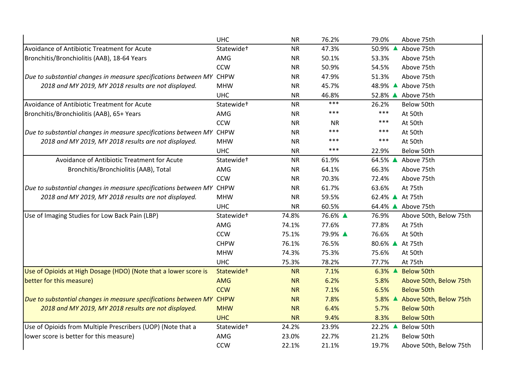|                                                                      | <b>UHC</b>             | <b>NR</b> | 76.2%     | 79.0%<br>Above 75th                           |
|----------------------------------------------------------------------|------------------------|-----------|-----------|-----------------------------------------------|
| Avoidance of Antibiotic Treatment for Acute                          | Statewide <sup>+</sup> | <b>NR</b> | 47.3%     | 50.9% ▲<br>Above 75th                         |
| Bronchitis/Bronchiolitis (AAB), 18-64 Years                          | AMG                    | <b>NR</b> | 50.1%     | 53.3%<br>Above 75th                           |
|                                                                      | <b>CCW</b>             | <b>NR</b> | 50.9%     | 54.5%<br>Above 75th                           |
| Due to substantial changes in measure specifications between MY CHPW |                        | <b>NR</b> | 47.9%     | 51.3%<br>Above 75th                           |
| 2018 and MY 2019, MY 2018 results are not displayed.                 | <b>MHW</b>             | <b>NR</b> | 45.7%     | 48.9% ▲ Above 75th                            |
|                                                                      | <b>UHC</b>             | <b>NR</b> | 46.8%     | 52.8% ▲ Above 75th                            |
| Avoidance of Antibiotic Treatment for Acute                          | Statewide <sup>+</sup> | <b>NR</b> | ***       | 26.2%<br>Below 50th                           |
| Bronchitis/Bronchiolitis (AAB), 65+ Years                            | AMG                    | <b>NR</b> | ***       | ***<br>At 50th                                |
|                                                                      | <b>CCW</b>             | <b>NR</b> | <b>NR</b> | ***<br>At 50th                                |
| Due to substantial changes in measure specifications between MY CHPW |                        | <b>NR</b> | ***       | ***<br>At 50th                                |
| 2018 and MY 2019, MY 2018 results are not displayed.                 | <b>MHW</b>             | <b>NR</b> | ***       | ***<br>At 50th                                |
|                                                                      | <b>UHC</b>             | <b>NR</b> | ***       | Below 50th<br>22.9%                           |
| Avoidance of Antibiotic Treatment for Acute                          | Statewide <sup>+</sup> | <b>NR</b> | 61.9%     | 64.5% ▲<br>Above 75th                         |
| Bronchitis/Bronchiolitis (AAB), Total                                | AMG                    | <b>NR</b> | 64.1%     | 66.3%<br>Above 75th                           |
|                                                                      | <b>CCW</b>             | <b>NR</b> | 70.3%     | 72.4%<br>Above 75th                           |
| Due to substantial changes in measure specifications between MY      | <b>CHPW</b>            | <b>NR</b> | 61.7%     | 63.6%<br>At 75th                              |
| 2018 and MY 2019, MY 2018 results are not displayed.                 | <b>MHW</b>             | <b>NR</b> | 59.5%     | 62.4% ▲ At 75th                               |
|                                                                      | <b>UHC</b>             | <b>NR</b> | 60.5%     | 64.4% ▲ Above 75th                            |
| Use of Imaging Studies for Low Back Pain (LBP)                       | Statewide <sup>+</sup> | 74.8%     | 76.6% ▲   | 76.9%<br>Above 50th, Below 75th               |
|                                                                      | AMG                    | 74.1%     | 77.6%     | 77.8%<br>At 75th                              |
|                                                                      | <b>CCW</b>             | 75.1%     | 79.9% ▲   | 76.6%<br>At 50th                              |
|                                                                      | <b>CHPW</b>            | 76.1%     | 76.5%     | 80.6% ▲ At 75th                               |
|                                                                      | <b>MHW</b>             | 74.3%     | 75.3%     | 75.6%<br>At 50th                              |
|                                                                      | <b>UHC</b>             | 75.3%     | 78.2%     | 77.7%<br>At 75th                              |
| Use of Opioids at High Dosage (HDO) (Note that a lower score is      | Statewide <sup>+</sup> | <b>NR</b> | 7.1%      | $6.3\%$ $\triangle$<br><b>Below 50th</b>      |
| better for this measure)                                             | <b>AMG</b>             | <b>NR</b> | 6.2%      | 5.8%<br>Above 50th, Below 75th                |
|                                                                      | <b>CCW</b>             | <b>NR</b> | 7.1%      | 6.5%<br><b>Below 50th</b>                     |
| Due to substantial changes in measure specifications between MY      | <b>CHPW</b>            | <b>NR</b> | 7.8%      | $5.8\%$ $\triangle$<br>Above 50th, Below 75th |
| 2018 and MY 2019, MY 2018 results are not displayed.                 | <b>MHW</b>             | <b>NR</b> | 6.4%      | 5.7%<br><b>Below 50th</b>                     |
|                                                                      | <b>UHC</b>             | <b>NR</b> | 9.4%      | 8.3%<br><b>Below 50th</b>                     |
| Use of Opioids from Multiple Prescribers (UOP) (Note that a          | Statewide <sup>+</sup> | 24.2%     | 23.9%     | 22.2% ▲<br>Below 50th                         |
| lower score is better for this measure)                              | AMG                    | 23.0%     | 22.7%     | 21.2%<br>Below 50th                           |
|                                                                      | <b>CCW</b>             | 22.1%     | 21.1%     | 19.7%<br>Above 50th, Below 75th               |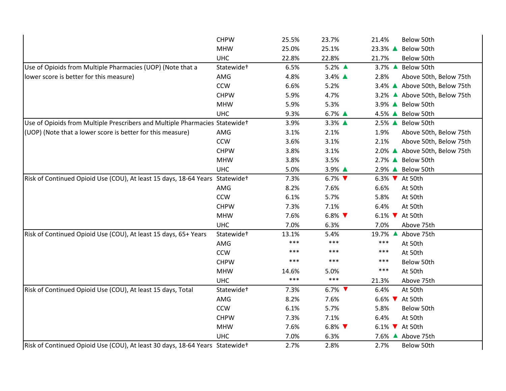|                                                                               | <b>CHPW</b>            | 25.5% | 23.7%   | 21.4%<br>Below 50th                  |
|-------------------------------------------------------------------------------|------------------------|-------|---------|--------------------------------------|
|                                                                               | <b>MHW</b>             | 25.0% | 25.1%   | 23.3% ▲<br>Below 50th                |
|                                                                               | <b>UHC</b>             | 22.8% | 22.8%   | 21.7%<br>Below 50th                  |
| Use of Opioids from Multiple Pharmacies (UOP) (Note that a                    | Statewide <sup>+</sup> | 6.5%  | 5.2% ▲  | 3.7% ▲ Below 50th                    |
| lower score is better for this measure)                                       | AMG                    | 4.8%  | 3.4% ▲  | 2.8%<br>Above 50th, Below 75th       |
|                                                                               | <b>CCW</b>             | 6.6%  | 5.2%    | 3.4% ▲ Above 50th, Below 75th        |
|                                                                               | <b>CHPW</b>            | 5.9%  | 4.7%    | 3.2% ▲ Above 50th, Below 75th        |
|                                                                               | <b>MHW</b>             | 5.9%  | 5.3%    | 3.9% ▲ Below 50th                    |
|                                                                               | <b>UHC</b>             | 9.3%  | 6.7% ▲  | 4.5% ▲ Below 50th                    |
| Use of Opioids from Multiple Prescribers and Multiple Pharmacies Statewidet   |                        | 3.9%  | 3.3% ▲  | 2.5% ▲ Below 50th                    |
| (UOP) (Note that a lower score is better for this measure)                    | AMG                    | 3.1%  | 2.1%    | 1.9%<br>Above 50th, Below 75th       |
|                                                                               | <b>CCW</b>             | 3.6%  | 3.1%    | 2.1%<br>Above 50th, Below 75th       |
|                                                                               | <b>CHPW</b>            | 3.8%  | 3.1%    | 2.0% ▲ Above 50th, Below 75th        |
|                                                                               | <b>MHW</b>             | 3.8%  | 3.5%    | 2.7% ▲ Below 50th                    |
|                                                                               | <b>UHC</b>             | 5.0%  | 3.9% ▲  | 2.9% ▲ Below 50th                    |
| Risk of Continued Opioid Use (COU), At least 15 days, 18-64 Years Statewide+  |                        | 7.3%  | $6.7\%$ | 6.3% V At 50th                       |
|                                                                               | AMG                    | 8.2%  | 7.6%    | 6.6%<br>At 50th                      |
|                                                                               | <b>CCW</b>             | 6.1%  | 5.7%    | 5.8%<br>At 50th                      |
|                                                                               | <b>CHPW</b>            | 7.3%  | 7.1%    | 6.4%<br>At 50th                      |
|                                                                               | <b>MHW</b>             | 7.6%  | $6.8\%$ | 6.1% $\blacktriangledown$<br>At 50th |
|                                                                               | <b>UHC</b>             | 7.0%  | 6.3%    | 7.0%<br>Above 75th                   |
| Risk of Continued Opioid Use (COU), At least 15 days, 65+ Years               | Statewide <sup>+</sup> | 13.1% | 5.4%    | 19.7% ▲<br>Above 75th                |
|                                                                               | AMG                    | $***$ | $***$   | $***$<br>At 50th                     |
|                                                                               | <b>CCW</b>             | ***   | ***     | ***<br>At 50th                       |
|                                                                               | <b>CHPW</b>            | ***   | $***$   | ***<br>Below 50th                    |
|                                                                               | <b>MHW</b>             | 14.6% | 5.0%    | ***<br>At 50th                       |
|                                                                               | <b>UHC</b>             | $***$ | $***$   | 21.3%<br>Above 75th                  |
| Risk of Continued Opioid Use (COU), At least 15 days, Total                   | Statewide <sup>+</sup> | 7.3%  | $6.7\%$ | 6.4%<br>At 50th                      |
|                                                                               | AMG                    | 8.2%  | 7.6%    | 6.6% <b>V</b> At 50th                |
|                                                                               | <b>CCW</b>             | 6.1%  | 5.7%    | 5.8%<br>Below 50th                   |
|                                                                               | <b>CHPW</b>            | 7.3%  | 7.1%    | 6.4%<br>At 50th                      |
|                                                                               | <b>MHW</b>             | 7.6%  | $6.8\%$ | 6.1% V At 50th                       |
|                                                                               | <b>UHC</b>             | 7.0%  | 6.3%    | 7.6% ▲ Above 75th                    |
| Risk of Continued Opioid Use (COU), At least 30 days, 18-64 Years Statewide + |                        | 2.7%  | 2.8%    | 2.7%<br>Below 50th                   |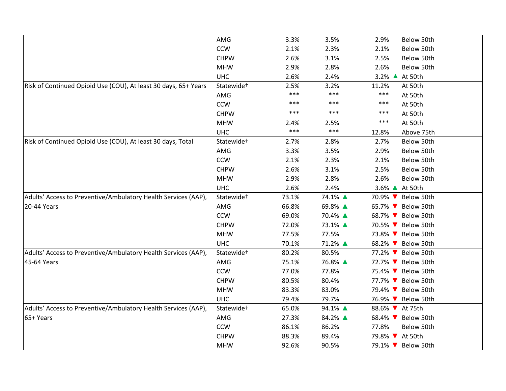| AMG                    | 3.3%  | 3.5%    | 2.9%                       | Below 50th                 |
|------------------------|-------|---------|----------------------------|----------------------------|
| <b>CCW</b>             | 2.1%  | 2.3%    | 2.1%                       | Below 50th                 |
| <b>CHPW</b>            | 2.6%  | 3.1%    | 2.5%                       | Below 50th                 |
| <b>MHW</b>             | 2.9%  | 2.8%    | 2.6%                       | Below 50th                 |
| <b>UHC</b>             | 2.6%  | 2.4%    | $3.2\%$ $\triangle$        | At 50th                    |
| Statewide <sup>+</sup> | 2.5%  | 3.2%    | 11.2%                      | At 50th                    |
| AMG                    | $***$ | ***     | $***$                      | At 50th                    |
| <b>CCW</b>             | ***   | ***     | $***$                      | At 50th                    |
| <b>CHPW</b>            | $***$ | ***     | ***                        | At 50th                    |
| <b>MHW</b>             | 2.4%  | 2.5%    | ***                        | At 50th                    |
| <b>UHC</b>             | $***$ | ***     | 12.8%                      | Above 75th                 |
| Statewide <sup>+</sup> | 2.7%  | 2.8%    | 2.7%                       | Below 50th                 |
| AMG                    | 3.3%  | 3.5%    | 2.9%                       | Below 50th                 |
| <b>CCW</b>             | 2.1%  | 2.3%    | 2.1%                       | Below 50th                 |
| <b>CHPW</b>            | 2.6%  | 3.1%    | 2.5%                       | Below 50th                 |
| <b>MHW</b>             | 2.9%  | 2.8%    | 2.6%                       | Below 50th                 |
| <b>UHC</b>             | 2.6%  | 2.4%    | 3.6% ▲ At 50th             |                            |
| Statewide <sup>+</sup> | 73.1% | 74.1% ▲ | 70.9% ▼                    | Below 50th                 |
| AMG                    | 66.8% | 69.8% ▲ | 65.7% V Below 50th         |                            |
| <b>CCW</b>             | 69.0% | 70.4% ▲ | 68.7% V Below 50th         |                            |
| <b>CHPW</b>            | 72.0% | 73.1% ▲ | 70.5% V Below 50th         |                            |
| <b>MHW</b>             | 77.5% | 77.5%   | 73.8% ▼                    | Below 50th                 |
| <b>UHC</b>             | 70.1% | 71.2% ▲ |                            | Below 50th                 |
|                        |       |         |                            |                            |
| Statewide <sup>+</sup> | 80.2% | 80.5%   | 77.2% $\blacktriangledown$ | Below 50th                 |
| AMG                    | 75.1% | 76.8% ▲ | 72.7% V Below 50th         |                            |
| <b>CCW</b>             | 77.0% | 77.8%   |                            | 75.4% ▼ Below 50th         |
| <b>CHPW</b>            | 80.5% | 80.4%   | 77.7% ▼ Below 50th         |                            |
| <b>MHW</b>             | 83.3% | 83.0%   | 79.4% ▼                    | Below 50th                 |
| <b>UHC</b>             | 79.4% | 79.7%   | 76.9% ▼                    | Below 50th                 |
| Statewide <sup>+</sup> | 65.0% | 94.1% ▲ | 88.6% At 75th              |                            |
| AMG                    | 27.3% | 84.2% ▲ | 68.4% V Below 50th         |                            |
| <b>CCW</b>             | 86.1% | 86.2%   | 77.8%                      | Below 50th                 |
| <b>CHPW</b>            | 88.3% | 89.4%   | 79.8% V At 50th            |                            |
|                        |       |         |                            | 68.2% $\blacktriangledown$ |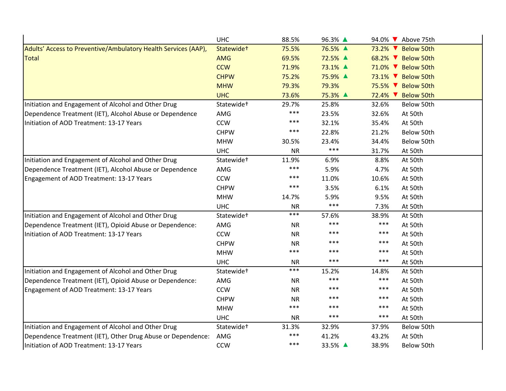|                                                                | <b>UHC</b>             | 88.5%     | 96.3% ▲ |          | 94.0% V Above 75th |
|----------------------------------------------------------------|------------------------|-----------|---------|----------|--------------------|
| Adults' Access to Preventive/Ambulatory Health Services (AAP), | Statewide+             | 75.5%     | 76.5% ▲ |          | 73.2% ▼ Below 50th |
| <b>Total</b>                                                   | <b>AMG</b>             | 69.5%     | 72.5% ▲ |          | 68.2% V Below 50th |
|                                                                | <b>CCW</b>             | 71.9%     | 73.1% ▲ |          | 71.0% ▼ Below 50th |
|                                                                | <b>CHPW</b>            | 75.2%     | 75.9% ▲ |          | 73.1% ▼ Below 50th |
|                                                                | <b>MHW</b>             | 79.3%     | 79.3%   |          | 75.5% V Below 50th |
|                                                                | <b>UHC</b>             | 73.6%     | 75.3% ▲ | $72.4\%$ | <b>Below 50th</b>  |
| Initiation and Engagement of Alcohol and Other Drug            | Statewide <sup>+</sup> | 29.7%     | 25.8%   | 32.6%    | Below 50th         |
| Dependence Treatment (IET), Alcohol Abuse or Dependence        | AMG                    | ***       | 23.5%   | 32.6%    | At 50th            |
| Initiation of AOD Treatment: 13-17 Years                       | <b>CCW</b>             | ***       | 32.1%   | 35.4%    | At 50th            |
|                                                                | <b>CHPW</b>            | ***       | 22.8%   | 21.2%    | Below 50th         |
|                                                                | <b>MHW</b>             | 30.5%     | 23.4%   | 34.4%    | Below 50th         |
|                                                                | <b>UHC</b>             | <b>NR</b> | $***$   | 31.7%    | At 50th            |
| Initiation and Engagement of Alcohol and Other Drug            | Statewide <sup>+</sup> | 11.9%     | 6.9%    | 8.8%     | At 50th            |
| Dependence Treatment (IET), Alcohol Abuse or Dependence        | AMG                    | ***       | 5.9%    | 4.7%     | At 50th            |
| Engagement of AOD Treatment: 13-17 Years                       | <b>CCW</b>             | ***       | 11.0%   | 10.6%    | At 50th            |
|                                                                | <b>CHPW</b>            | ***       | 3.5%    | 6.1%     | At 50th            |
|                                                                | <b>MHW</b>             | 14.7%     | 5.9%    | 9.5%     | At 50th            |
|                                                                | <b>UHC</b>             | <b>NR</b> | $***$   | 7.3%     | At 50th            |
| Initiation and Engagement of Alcohol and Other Drug            | Statewide <sup>+</sup> | ***       | 57.6%   | 38.9%    | At 50th            |
| Dependence Treatment (IET), Opioid Abuse or Dependence:        | AMG                    | <b>NR</b> | ***     | $***$    | At 50th            |
| Initiation of AOD Treatment: 13-17 Years                       | <b>CCW</b>             | <b>NR</b> | $***$   | ***      | At 50th            |
|                                                                | <b>CHPW</b>            | <b>NR</b> | ***     | ***      | At 50th            |
|                                                                | <b>MHW</b>             | ***       | ***     | ***      | At 50th            |
|                                                                | <b>UHC</b>             | <b>NR</b> | $***$   | $***$    | At 50th            |
| Initiation and Engagement of Alcohol and Other Drug            | Statewide <sup>+</sup> | ***       | 15.2%   | 14.8%    | At 50th            |
| Dependence Treatment (IET), Opioid Abuse or Dependence:        | AMG                    | <b>NR</b> | ***     | ***      | At 50th            |
| Engagement of AOD Treatment: 13-17 Years                       | <b>CCW</b>             | <b>NR</b> | ***     | ***      | At 50th            |
|                                                                | <b>CHPW</b>            | <b>NR</b> | ***     | ***      | At 50th            |
|                                                                | <b>MHW</b>             | ***       | ***     | $***$    | At 50th            |
|                                                                | <b>UHC</b>             | <b>NR</b> | $***$   | $***$    | At 50th            |
| Initiation and Engagement of Alcohol and Other Drug            | Statewide <sup>+</sup> | 31.3%     | 32.9%   | 37.9%    | Below 50th         |
| Dependence Treatment (IET), Other Drug Abuse or Dependence:    | AMG                    | ***       | 41.2%   | 43.2%    | At 50th            |
| Initiation of AOD Treatment: 13-17 Years                       | <b>CCW</b>             | ***       | 33.5% ▲ | 38.9%    | Below 50th         |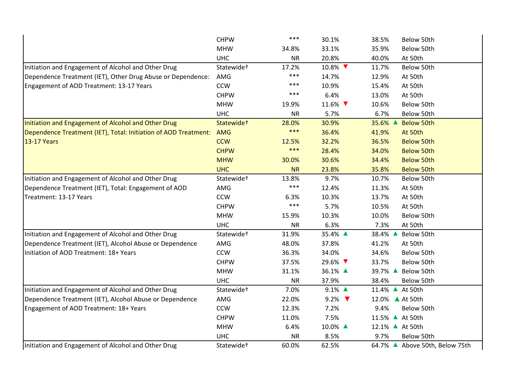|                                                                 | <b>CHPW</b>            | $***$     | 30.1%                     | 38.5%<br>Below 50th            |
|-----------------------------------------------------------------|------------------------|-----------|---------------------------|--------------------------------|
|                                                                 | <b>MHW</b>             | 34.8%     | 33.1%                     | 35.9%<br>Below 50th            |
|                                                                 | <b>UHC</b>             | <b>NR</b> | 20.8%                     | 40.0%<br>At 50th               |
| Initiation and Engagement of Alcohol and Other Drug             | Statewide <sup>+</sup> | 17.2%     | 10.8% ▼                   | 11.7%<br>Below 50th            |
| Dependence Treatment (IET), Other Drug Abuse or Dependence:     | AMG                    | $***$     | 14.7%                     | 12.9%<br>At 50th               |
| Engagement of AOD Treatment: 13-17 Years                        | <b>CCW</b>             | ***       | 10.9%                     | 15.4%<br>At 50th               |
|                                                                 | <b>CHPW</b>            | $***$     | 6.4%                      | 13.0%<br>At 50th               |
|                                                                 | <b>MHW</b>             | 19.9%     | 11.6% ▼                   | 10.6%<br>Below 50th            |
|                                                                 | <b>UHC</b>             | <b>NR</b> | 5.7%                      | 6.7%<br>Below 50th             |
| Initiation and Engagement of Alcohol and Other Drug             | Statewide <sup>+</sup> | 28.0%     | 30.9%                     | 35.6% ▲<br><b>Below 50th</b>   |
| Dependence Treatment (IET), Total: Initiation of AOD Treatment: | AMG                    | $***$     | 36.4%                     | 41.9%<br>At 50th               |
| 13-17 Years                                                     | <b>CCW</b>             | 12.5%     | 32.2%                     | 36.5%<br><b>Below 50th</b>     |
|                                                                 | <b>CHPW</b>            | $***$     | 28.4%                     | 34.0%<br><b>Below 50th</b>     |
|                                                                 | <b>MHW</b>             | 30.0%     | 30.6%                     | 34.4%<br><b>Below 50th</b>     |
|                                                                 | <b>UHC</b>             | <b>NR</b> | 23.8%                     | 35.8%<br><b>Below 50th</b>     |
| Initiation and Engagement of Alcohol and Other Drug             | Statewide <sup>+</sup> | 13.8%     | 9.7%                      | 10.7%<br>Below 50th            |
| Dependence Treatment (IET), Total: Engagement of AOD            | AMG                    | $***$     | 12.4%                     | 11.3%<br>At 50th               |
| Treatment: 13-17 Years                                          | <b>CCW</b>             | 6.3%      | 10.3%                     | 13.7%<br>At 50th               |
|                                                                 | <b>CHPW</b>            | $***$     | 5.7%                      | 10.5%<br>At 50th               |
|                                                                 | <b>MHW</b>             | 15.9%     | 10.3%                     | 10.0%<br>Below 50th            |
|                                                                 | <b>UHC</b>             | <b>NR</b> | 6.3%                      | 7.3%<br>At 50th                |
| Initiation and Engagement of Alcohol and Other Drug             | Statewide <sup>+</sup> | 31.9%     | 35.4% ▲                   | 38.4% ▲<br>Below 50th          |
| Dependence Treatment (IET), Alcohol Abuse or Dependence         | AMG                    | 48.0%     | 37.8%                     | 41.2%<br>At 50th               |
| Initiation of AOD Treatment: 18+ Years                          | CCW                    | 36.3%     | 34.0%                     | 34.6%<br>Below 50th            |
|                                                                 | <b>CHPW</b>            | 37.5%     | 29.6% ▼                   | 33.7%<br>Below 50th            |
|                                                                 | <b>MHW</b>             | 31.1%     | 36.1% ▲                   | 39.7% ▲<br>Below 50th          |
|                                                                 | <b>UHC</b>             | <b>NR</b> | 37.9%                     | 38.4%<br>Below 50th            |
| Initiation and Engagement of Alcohol and Other Drug             | Statewide <sup>+</sup> | 7.0%      | 9.1% ▲                    | 11.4% ▲ At 50th                |
| Dependence Treatment (IET), Alcohol Abuse or Dependence         | AMG                    | 22.0%     | 9.2% $\blacktriangledown$ | 12.0% ▲ At 50th                |
| Engagement of AOD Treatment: 18+ Years                          | <b>CCW</b>             | 12.3%     | 7.2%                      | 9.4%<br>Below 50th             |
|                                                                 | <b>CHPW</b>            | 11.0%     | 7.5%                      | 11.5% ▲ At 50th                |
|                                                                 | <b>MHW</b>             | 6.4%      | 10.0% ▲                   | 12.1% ▲ At 50th                |
|                                                                 | <b>UHC</b>             | <b>NR</b> | 8.5%                      | 9.7%<br>Below 50th             |
| Initiation and Engagement of Alcohol and Other Drug             | Statewide <sup>+</sup> | 60.0%     | 62.5%                     | 64.7% ▲ Above 50th, Below 75th |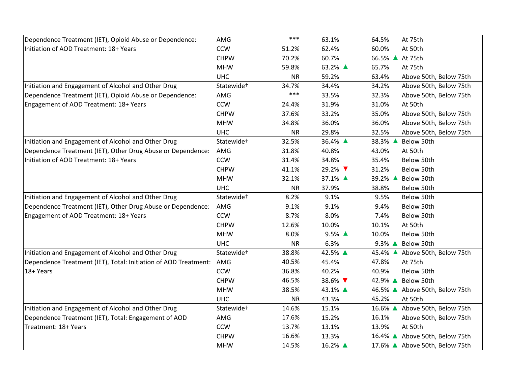| Dependence Treatment (IET), Opioid Abuse or Dependence:             | AMG                    | $***$     | 63.1%   | 64.5%<br>At 75th                  |
|---------------------------------------------------------------------|------------------------|-----------|---------|-----------------------------------|
| Initiation of AOD Treatment: 18+ Years                              | <b>CCW</b>             | 51.2%     | 62.4%   | 60.0%<br>At 50th                  |
|                                                                     | <b>CHPW</b>            | 70.2%     | 60.7%   | 66.5% ▲ At 75th                   |
|                                                                     | <b>MHW</b>             | 59.8%     | 63.2% ▲ | 65.7%<br>At 75th                  |
|                                                                     | <b>UHC</b>             | <b>NR</b> | 59.2%   | 63.4%<br>Above 50th, Below 75th   |
| Initiation and Engagement of Alcohol and Other Drug                 | Statewide <sup>+</sup> | 34.7%     | 34.4%   | 34.2%<br>Above 50th, Below 75th   |
| Dependence Treatment (IET), Opioid Abuse or Dependence:             | AMG                    | $***$     | 33.5%   | 32.3%<br>Above 50th, Below 75th   |
| Engagement of AOD Treatment: 18+ Years                              | <b>CCW</b>             | 24.4%     | 31.9%   | 31.0%<br>At 50th                  |
|                                                                     | <b>CHPW</b>            | 37.6%     | 33.2%   | 35.0%<br>Above 50th, Below 75th   |
|                                                                     | <b>MHW</b>             | 34.8%     | 36.0%   | 36.0%<br>Above 50th, Below 75th   |
|                                                                     | <b>UHC</b>             | <b>NR</b> | 29.8%   | 32.5%<br>Above 50th, Below 75th   |
| Initiation and Engagement of Alcohol and Other Drug                 | Statewide <sup>+</sup> | 32.5%     | 36.4% ▲ | 38.3% ▲<br>Below 50th             |
| Dependence Treatment (IET), Other Drug Abuse or Dependence:         | AMG                    | 31.8%     | 40.8%   | 43.0%<br>At 50th                  |
| Initiation of AOD Treatment: 18+ Years                              | <b>CCW</b>             | 31.4%     | 34.8%   | 35.4%<br>Below 50th               |
|                                                                     | <b>CHPW</b>            | 41.1%     | 29.2% ▼ | 31.2%<br>Below 50th               |
|                                                                     | <b>MHW</b>             | 32.1%     | 37.1% ▲ | 39.2% ▲<br>Below 50th             |
|                                                                     | <b>UHC</b>             | <b>NR</b> | 37.9%   | 38.8%<br>Below 50th               |
| Initiation and Engagement of Alcohol and Other Drug                 | Statewide <sup>+</sup> | 8.2%      | 9.1%    | 9.5%<br>Below 50th                |
| Dependence Treatment (IET), Other Drug Abuse or Dependence:         | AMG                    | 9.1%      | 9.1%    | 9.4%<br>Below 50th                |
| Engagement of AOD Treatment: 18+ Years                              | <b>CCW</b>             | 8.7%      | 8.0%    | 7.4%<br>Below 50th                |
|                                                                     | <b>CHPW</b>            | 12.6%     | 10.0%   | 10.1%<br>At 50th                  |
|                                                                     | <b>MHW</b>             | 8.0%      | 9.5% ▲  | 10.0%<br>Below 50th               |
|                                                                     | <b>UHC</b>             | <b>NR</b> | 6.3%    | $9.3\%$ $\triangle$<br>Below 50th |
| Initiation and Engagement of Alcohol and Other Drug                 | Statewide <sup>+</sup> | 38.8%     | 42.5% ▲ | 45.4% ▲<br>Above 50th, Below 75th |
| Dependence Treatment (IET), Total: Initiation of AOD Treatment: AMG |                        | 40.5%     | 45.4%   | 47.8%<br>At 75th                  |
| 18+ Years                                                           | <b>CCW</b>             | 36.8%     | 40.2%   | 40.9%<br>Below 50th               |
|                                                                     | <b>CHPW</b>            | 46.5%     | 38.6% ▼ | 42.9% ▲<br>Below 50th             |
|                                                                     | <b>MHW</b>             | 38.5%     | 43.1% ▲ | 46.5% ▲ Above 50th, Below 75th    |
|                                                                     | <b>UHC</b>             | <b>NR</b> | 43.3%   | 45.2%<br>At 50th                  |
| Initiation and Engagement of Alcohol and Other Drug                 | Statewide <sup>+</sup> | 14.6%     | 15.1%   | 16.6% ▲ Above 50th, Below 75th    |
| Dependence Treatment (IET), Total: Engagement of AOD                | AMG                    | 17.6%     | 15.2%   | 16.1%<br>Above 50th, Below 75th   |
| Treatment: 18+ Years                                                | <b>CCW</b>             | 13.7%     | 13.1%   | 13.9%<br>At 50th                  |
|                                                                     | <b>CHPW</b>            | 16.6%     | 13.3%   | 16.4% ▲ Above 50th, Below 75th    |
|                                                                     | <b>MHW</b>             | 14.5%     | 16.2% ▲ | 17.6% ▲ Above 50th, Below 75th    |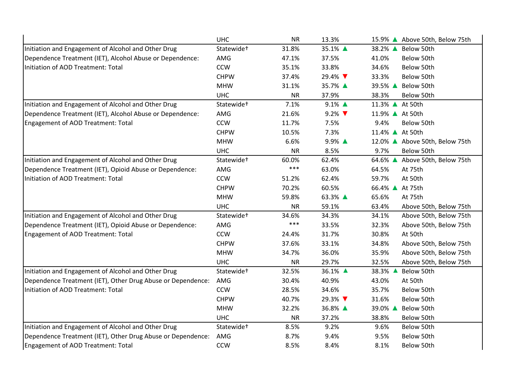|                                                             | <b>UHC</b>             | <b>NR</b> | 13.3%               | 15.9% ▲ Above 50th, Below 75th    |
|-------------------------------------------------------------|------------------------|-----------|---------------------|-----------------------------------|
| Initiation and Engagement of Alcohol and Other Drug         | Statewide <sup>+</sup> | 31.8%     | 35.1% ▲             | 38.2% ▲<br>Below 50th             |
| Dependence Treatment (IET), Alcohol Abuse or Dependence:    | AMG                    | 47.1%     | 37.5%               | 41.0%<br>Below 50th               |
| Initiation of AOD Treatment: Total                          | <b>CCW</b>             | 35.1%     | 33.8%               | 34.6%<br>Below 50th               |
|                                                             | <b>CHPW</b>            | 37.4%     | 29.4% ▼             | 33.3%<br>Below 50th               |
|                                                             | <b>MHW</b>             | 31.1%     | 35.7% ▲             | 39.5% ▲<br>Below 50th             |
|                                                             | <b>UHC</b>             | <b>NR</b> | 37.9%               | 38.3%<br>Below 50th               |
| Initiation and Engagement of Alcohol and Other Drug         | Statewide <sup>+</sup> | 7.1%      | $9.1\%$ $\triangle$ | 11.3% ▲ At 50th                   |
| Dependence Treatment (IET), Alcohol Abuse or Dependence:    | AMG                    | 21.6%     | $9.2\%$             | 11.9% ▲ At 50th                   |
| Engagement of AOD Treatment: Total                          | <b>CCW</b>             | 11.7%     | 7.5%                | 9.4%<br>Below 50th                |
|                                                             | <b>CHPW</b>            | 10.5%     | 7.3%                | 11.4% ▲ At 50th                   |
|                                                             | <b>MHW</b>             | 6.6%      | 9.9% ▲              | 12.0% ▲ Above 50th, Below 75th    |
|                                                             | <b>UHC</b>             | <b>NR</b> | 8.5%                | 9.7%<br>Below 50th                |
| Initiation and Engagement of Alcohol and Other Drug         | Statewide <sup>+</sup> | 60.0%     | 62.4%               | 64.6% ▲<br>Above 50th, Below 75th |
| Dependence Treatment (IET), Opioid Abuse or Dependence:     | AMG                    | $***$     | 63.0%               | 64.5%<br>At 75th                  |
| Initiation of AOD Treatment: Total                          | <b>CCW</b>             | 51.2%     | 62.4%               | 59.7%<br>At 50th                  |
|                                                             | <b>CHPW</b>            | 70.2%     | 60.5%               | 66.4% ▲ At 75th                   |
|                                                             | <b>MHW</b>             | 59.8%     | 63.3% ▲             | 65.6%<br>At 75th                  |
|                                                             | <b>UHC</b>             | <b>NR</b> | 59.1%               | 63.4%<br>Above 50th, Below 75th   |
| Initiation and Engagement of Alcohol and Other Drug         | Statewide <sup>+</sup> | 34.6%     | 34.3%               | 34.1%<br>Above 50th, Below 75th   |
| Dependence Treatment (IET), Opioid Abuse or Dependence:     | AMG                    | $***$     | 33.5%               | 32.3%<br>Above 50th, Below 75th   |
| <b>Engagement of AOD Treatment: Total</b>                   | <b>CCW</b>             | 24.4%     | 31.7%               | 30.8%<br>At 50th                  |
|                                                             | <b>CHPW</b>            | 37.6%     | 33.1%               | 34.8%<br>Above 50th, Below 75th   |
|                                                             | <b>MHW</b>             | 34.7%     | 36.0%               | 35.9%<br>Above 50th, Below 75th   |
|                                                             | <b>UHC</b>             | <b>NR</b> | 29.7%               | 32.5%<br>Above 50th, Below 75th   |
| Initiation and Engagement of Alcohol and Other Drug         | Statewide <sup>+</sup> | 32.5%     | 36.1% ▲             | 38.3% ▲<br>Below 50th             |
| Dependence Treatment (IET), Other Drug Abuse or Dependence: | AMG                    | 30.4%     | 40.9%               | 43.0%<br>At 50th                  |
| Initiation of AOD Treatment: Total                          | <b>CCW</b>             | 28.5%     | 34.6%               | 35.7%<br>Below 50th               |
|                                                             | <b>CHPW</b>            | 40.7%     | 29.3% ▼             | 31.6%<br>Below 50th               |
|                                                             | <b>MHW</b>             | 32.2%     | 36.8% ▲             | 39.0% ▲<br>Below 50th             |
|                                                             | <b>UHC</b>             | <b>NR</b> | 37.2%               | 38.8%<br>Below 50th               |
| Initiation and Engagement of Alcohol and Other Drug         | Statewide <sup>+</sup> | 8.5%      | 9.2%                | 9.6%<br>Below 50th                |
| Dependence Treatment (IET), Other Drug Abuse or Dependence: | AMG                    | 8.7%      | 9.4%                | 9.5%<br>Below 50th                |
| <b>Engagement of AOD Treatment: Total</b>                   | CCW                    | 8.5%      | 8.4%                | 8.1%<br>Below 50th                |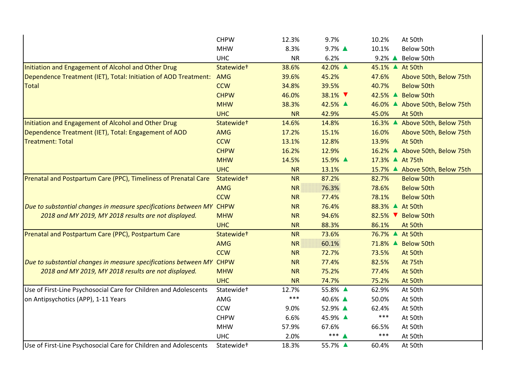|                                                                      | <b>CHPW</b>            | 12.3%     | 9.7%    | 10.2%<br>At 50th                |
|----------------------------------------------------------------------|------------------------|-----------|---------|---------------------------------|
|                                                                      | <b>MHW</b>             | 8.3%      | 9.7% ▲  | 10.1%<br>Below 50th             |
|                                                                      | <b>UHC</b>             | <b>NR</b> | 6.2%    | 9.2% ▲ Below 50th               |
| Initiation and Engagement of Alcohol and Other Drug                  | Statewide+             | 38.6%     | 42.0% ▲ | 45.1% ▲ At 50th                 |
| Dependence Treatment (IET), Total: Initiation of AOD Treatment:      | <b>AMG</b>             | 39.6%     | 45.2%   | 47.6%<br>Above 50th, Below 75th |
| <b>Total</b>                                                         | <b>CCW</b>             | 34.8%     | 39.5%   | 40.7%<br><b>Below 50th</b>      |
|                                                                      | <b>CHPW</b>            | 46.0%     | 38.1% ▼ | 42.5% ▲ Below 50th              |
|                                                                      | <b>MHW</b>             | 38.3%     | 42.5% ▲ | 46.0% ▲ Above 50th, Below 75th  |
|                                                                      | <b>UHC</b>             | <b>NR</b> | 42.9%   | 45.0%<br>At 50th                |
| Initiation and Engagement of Alcohol and Other Drug                  | Statewide <sup>+</sup> | 14.6%     | 14.8%   | 16.3% ▲ Above 50th, Below 75th  |
| Dependence Treatment (IET), Total: Engagement of AOD                 | <b>AMG</b>             | 17.2%     | 15.1%   | 16.0%<br>Above 50th, Below 75th |
| <b>Treatment: Total</b>                                              | <b>CCW</b>             | 13.1%     | 12.8%   | 13.9%<br>At 50th                |
|                                                                      | <b>CHPW</b>            | 16.2%     | 12.9%   | 16.2% ▲ Above 50th, Below 75th  |
|                                                                      | <b>MHW</b>             | 14.5%     | 15.9% ▲ | 17.3% ▲ At 75th                 |
|                                                                      | <b>UHC</b>             | <b>NR</b> | 13.1%   | 15.7% ▲ Above 50th, Below 75th  |
| Prenatal and Postpartum Care (PPC), Timeliness of Prenatal Care      | Statewide <sup>+</sup> | <b>NR</b> | 87.2%   | 82.7%<br><b>Below 50th</b>      |
|                                                                      | <b>AMG</b>             | <b>NR</b> | 76.3%   | 78.6%<br><b>Below 50th</b>      |
|                                                                      | <b>CCW</b>             | <b>NR</b> | 77.4%   | 78.1%<br><b>Below 50th</b>      |
| Due to substantial changes in measure specifications between MY CHPW |                        | <b>NR</b> | 76.4%   | 88.3% ▲ At 50th                 |
| 2018 and MY 2019, MY 2018 results are not displayed.                 | <b>MHW</b>             | <b>NR</b> | 94.6%   | 82.5% ▼ Below 50th              |
|                                                                      | <b>UHC</b>             | <b>NR</b> | 88.3%   | 86.1%<br>At 50th                |
| Prenatal and Postpartum Care (PPC), Postpartum Care                  | Statewide+             | <b>NR</b> | 73.6%   | 76.7% ▲ At 50th                 |
|                                                                      | <b>AMG</b>             | <b>NR</b> | 60.1%   | 71.8% ▲ Below 50th              |
|                                                                      | <b>CCW</b>             | <b>NR</b> | 72.7%   | 73.5%<br>At 50th                |
| Due to substantial changes in measure specifications between MY      | <b>CHPW</b>            | <b>NR</b> | 77.4%   | 82.5%<br>At 75th                |
| 2018 and MY 2019, MY 2018 results are not displayed.                 | <b>MHW</b>             | <b>NR</b> | 75.2%   | 77.4%<br>At 50th                |
|                                                                      | <b>UHC</b>             | <b>NR</b> | 74.7%   | 75.2%<br>At 50th                |
| Use of First-Line Psychosocial Care for Children and Adolescents     | Statewide <sup>+</sup> | 12.7%     | 55.8% ▲ | 62.9%<br>At 50th                |
| on Antipsychotics (APP), 1-11 Years                                  | AMG                    | $***$     | 40.6% ▲ | 50.0%<br>At 50th                |
|                                                                      | CCW                    | 9.0%      | 52.9% ▲ | 62.4%<br>At 50th                |
|                                                                      | <b>CHPW</b>            | 6.6%      | 45.9% ▲ | $***$<br>At 50th                |
|                                                                      | <b>MHW</b>             | 57.9%     | 67.6%   | At 50th<br>66.5%                |
|                                                                      | <b>UHC</b>             | 2.0%      | $***4$  | $***$<br>At 50th                |
| Use of First-Line Psychosocial Care for Children and Adolescents     | Statewide <sup>+</sup> | 18.3%     | 55.7% ▲ | 60.4%<br>At 50th                |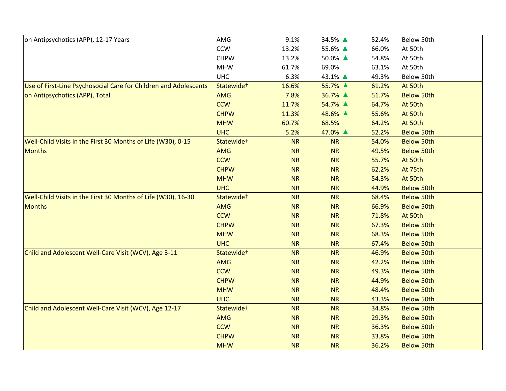| on Antipsychotics (APP), 12-17 Years                             | AMG                    | 9.1%      | 34.5% ▲   | 52.4% | Below 50th        |
|------------------------------------------------------------------|------------------------|-----------|-----------|-------|-------------------|
|                                                                  | <b>CCW</b>             | 13.2%     | 55.6% ▲   | 66.0% | At 50th           |
|                                                                  | <b>CHPW</b>            | 13.2%     | 50.0% ▲   | 54.8% | At 50th           |
|                                                                  | <b>MHW</b>             | 61.7%     | 69.0%     | 63.1% | At 50th           |
|                                                                  | <b>UHC</b>             | 6.3%      | 43.1% ▲   | 49.3% | Below 50th        |
| Use of First-Line Psychosocial Care for Children and Adolescents | Statewide <sup>+</sup> | 16.6%     | 55.7% ▲   | 61.2% | At 50th           |
| on Antipsychotics (APP), Total                                   | AMG                    | 7.8%      | 36.7% ▲   | 51.7% | <b>Below 50th</b> |
|                                                                  | <b>CCW</b>             | 11.7%     | 54.7% ▲   | 64.7% | At 50th           |
|                                                                  | <b>CHPW</b>            | 11.3%     | 48.6% ▲   | 55.6% | At 50th           |
|                                                                  | <b>MHW</b>             | 60.7%     | 68.5%     | 64.2% | At 50th           |
|                                                                  | <b>UHC</b>             | 5.2%      | 47.0% ▲   | 52.2% | <b>Below 50th</b> |
| Well-Child Visits in the First 30 Months of Life (W30), 0-15     | Statewide+             | <b>NR</b> | <b>NR</b> | 54.0% | <b>Below 50th</b> |
| <b>Months</b>                                                    | <b>AMG</b>             | <b>NR</b> | NR        | 49.5% | <b>Below 50th</b> |
|                                                                  | <b>CCW</b>             | <b>NR</b> | <b>NR</b> | 55.7% | At 50th           |
|                                                                  | <b>CHPW</b>            | <b>NR</b> | NR        | 62.2% | At 75th           |
|                                                                  | <b>MHW</b>             | <b>NR</b> | <b>NR</b> | 54.3% | At 50th           |
|                                                                  | <b>UHC</b>             | <b>NR</b> | <b>NR</b> | 44.9% | <b>Below 50th</b> |
| Well-Child Visits in the First 30 Months of Life (W30), 16-30    | Statewide+             | <b>NR</b> | <b>NR</b> | 68.4% | <b>Below 50th</b> |
| <b>Months</b>                                                    | <b>AMG</b>             | <b>NR</b> | <b>NR</b> | 66.9% | <b>Below 50th</b> |
|                                                                  | <b>CCW</b>             | <b>NR</b> | NR        | 71.8% | At 50th           |
|                                                                  | <b>CHPW</b>            | <b>NR</b> | NR        | 67.3% | <b>Below 50th</b> |
|                                                                  | <b>MHW</b>             | <b>NR</b> | NR        | 68.3% | <b>Below 50th</b> |
|                                                                  | <b>UHC</b>             | <b>NR</b> | <b>NR</b> | 67.4% | <b>Below 50th</b> |
| Child and Adolescent Well-Care Visit (WCV), Age 3-11             | Statewide <sup>+</sup> | <b>NR</b> | <b>NR</b> | 46.9% | <b>Below 50th</b> |
|                                                                  | AMG                    | <b>NR</b> | NR        | 42.2% | <b>Below 50th</b> |
|                                                                  | <b>CCW</b>             | <b>NR</b> | NR        | 49.3% | <b>Below 50th</b> |
|                                                                  | <b>CHPW</b>            | <b>NR</b> | NR        | 44.9% | <b>Below 50th</b> |
|                                                                  | <b>MHW</b>             | <b>NR</b> | <b>NR</b> | 48.4% | <b>Below 50th</b> |
|                                                                  | <b>UHC</b>             | <b>NR</b> | <b>NR</b> | 43.3% | <b>Below 50th</b> |
| Child and Adolescent Well-Care Visit (WCV), Age 12-17            | Statewide+             | <b>NR</b> | <b>NR</b> | 34.8% | <b>Below 50th</b> |
|                                                                  | AMG                    | <b>NR</b> | NR        | 29.3% | <b>Below 50th</b> |
|                                                                  | <b>CCW</b>             | <b>NR</b> | <b>NR</b> | 36.3% | <b>Below 50th</b> |
|                                                                  | <b>CHPW</b>            | <b>NR</b> | <b>NR</b> | 33.8% | <b>Below 50th</b> |
|                                                                  | <b>MHW</b>             | <b>NR</b> | <b>NR</b> | 36.2% | <b>Below 50th</b> |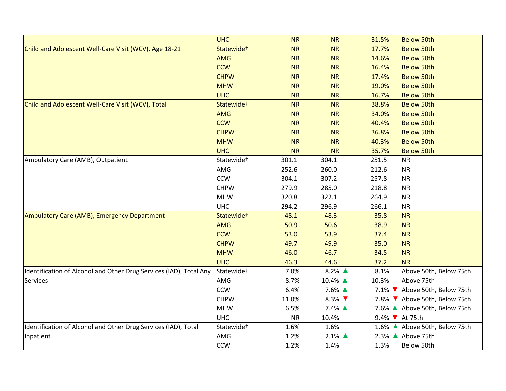|                                                                    | <b>UHC</b>             | <b>NR</b> | <b>NR</b>                 | 31.5%          | <b>Below 50th</b>             |
|--------------------------------------------------------------------|------------------------|-----------|---------------------------|----------------|-------------------------------|
| Child and Adolescent Well-Care Visit (WCV), Age 18-21              | Statewide <sup>+</sup> | <b>NR</b> | <b>NR</b>                 | 17.7%          | <b>Below 50th</b>             |
|                                                                    | <b>AMG</b>             | <b>NR</b> | <b>NR</b>                 | 14.6%          | <b>Below 50th</b>             |
|                                                                    | <b>CCW</b>             | <b>NR</b> | NR                        | 16.4%          | <b>Below 50th</b>             |
|                                                                    | <b>CHPW</b>            | <b>NR</b> | <b>NR</b>                 | 17.4%          | <b>Below 50th</b>             |
|                                                                    | <b>MHW</b>             | <b>NR</b> | <b>NR</b>                 | 19.0%          | <b>Below 50th</b>             |
|                                                                    | <b>UHC</b>             | <b>NR</b> | <b>NR</b>                 | 16.7%          | <b>Below 50th</b>             |
| Child and Adolescent Well-Care Visit (WCV), Total                  | Statewide <sup>+</sup> | <b>NR</b> | <b>NR</b>                 | 38.8%          | <b>Below 50th</b>             |
|                                                                    | AMG                    | <b>NR</b> | <b>NR</b>                 | 34.0%          | <b>Below 50th</b>             |
|                                                                    | <b>CCW</b>             | <b>NR</b> | <b>NR</b>                 | 40.4%          | <b>Below 50th</b>             |
|                                                                    | <b>CHPW</b>            | <b>NR</b> | <b>NR</b>                 | 36.8%          | <b>Below 50th</b>             |
|                                                                    | <b>MHW</b>             | <b>NR</b> | <b>NR</b>                 | 40.3%          | <b>Below 50th</b>             |
|                                                                    | <b>UHC</b>             | <b>NR</b> | <b>NR</b>                 | 35.7%          | <b>Below 50th</b>             |
| Ambulatory Care (AMB), Outpatient                                  | Statewide <sup>+</sup> | 301.1     | 304.1                     | 251.5          | <b>NR</b>                     |
|                                                                    | AMG                    | 252.6     | 260.0                     | 212.6          | <b>NR</b>                     |
|                                                                    | <b>CCW</b>             | 304.1     | 307.2                     | 257.8          | <b>NR</b>                     |
|                                                                    | <b>CHPW</b>            | 279.9     | 285.0                     | 218.8          | <b>NR</b>                     |
|                                                                    | <b>MHW</b>             | 320.8     | 322.1                     | 264.9          | <b>NR</b>                     |
|                                                                    | <b>UHC</b>             | 294.2     | 296.9                     | 266.1          | <b>NR</b>                     |
| Ambulatory Care (AMB), Emergency Department                        | Statewide <sup>+</sup> | 48.1      | 48.3                      | 35.8           | <b>NR</b>                     |
|                                                                    | <b>AMG</b>             | 50.9      | 50.6                      | 38.9           | <b>NR</b>                     |
|                                                                    | <b>CCW</b>             | 53.0      | 53.9                      | 37.4           | <b>NR</b>                     |
|                                                                    | <b>CHPW</b>            | 49.7      | 49.9                      | 35.0           | <b>NR</b>                     |
|                                                                    | <b>MHW</b>             | 46.0      | 46.7                      | 34.5           | <b>NR</b>                     |
|                                                                    | <b>UHC</b>             | 46.3      | 44.6                      | 37.2           | <b>NR</b>                     |
| Identification of Alcohol and Other Drug Services (IAD), Total Any | Statewide <sup>+</sup> | 7.0%      | 8.2% ▲                    | 8.1%           | Above 50th, Below 75th        |
| <b>Services</b>                                                    | AMG                    | 8.7%      | 10.4% ▲                   | 10.3%          | Above 75th                    |
|                                                                    | <b>CCW</b>             | 6.4%      | 7.6% ▲                    |                | 7.1% ▼ Above 50th, Below 75th |
|                                                                    | <b>CHPW</b>            | 11.0%     | 8.3% $\blacktriangledown$ |                | 7.8% V Above 50th, Below 75th |
|                                                                    | <b>MHW</b>             | 6.5%      | 7.4% ▲                    |                | 7.6% ▲ Above 50th, Below 75th |
|                                                                    | <b>UHC</b>             | <b>NR</b> | 10.4%                     | 9.4% V At 75th |                               |
| Identification of Alcohol and Other Drug Services (IAD), Total     | Statewide <sup>+</sup> | 1.6%      | 1.6%                      |                | 1.6% ▲ Above 50th, Below 75th |
| Inpatient                                                          | AMG                    | 1.2%      | $2.1\%$ $\triangle$       |                | 2.3% ▲ Above 75th             |
|                                                                    | <b>CCW</b>             | 1.2%      | 1.4%                      | 1.3%           | Below 50th                    |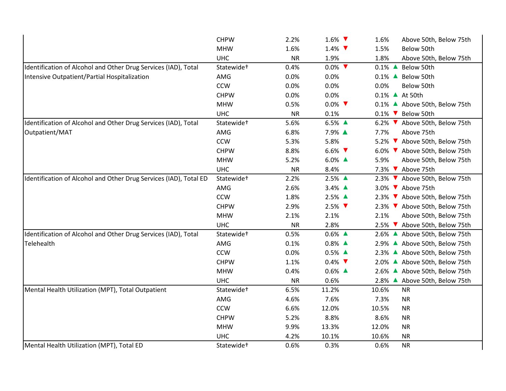|                                                                   | <b>CHPW</b>            | 2.2%      | 1.6% $\blacktriangledown$ | 1.6%<br>Above 50th, Below 75th |
|-------------------------------------------------------------------|------------------------|-----------|---------------------------|--------------------------------|
|                                                                   | <b>MHW</b>             | 1.6%      | 1.4% $\blacktriangledown$ | 1.5%<br>Below 50th             |
|                                                                   | <b>UHC</b>             | <b>NR</b> | 1.9%                      | 1.8%<br>Above 50th, Below 75th |
| Identification of Alcohol and Other Drug Services (IAD), Total    | Statewide <sup>+</sup> | 0.4%      | $0.0\%$                   | 0.1% ▲ Below 50th              |
| Intensive Outpatient/Partial Hospitalization                      | AMG                    | 0.0%      | 0.0%                      | 0.1% ▲ Below 50th              |
|                                                                   | CCW                    | 0.0%      | 0.0%                      | 0.0%<br>Below 50th             |
|                                                                   | <b>CHPW</b>            | 0.0%      | 0.0%                      | 0.1% ▲ At 50th                 |
|                                                                   | <b>MHW</b>             | 0.5%      | $0.0\%$                   | 0.1% ▲ Above 50th, Below 75th  |
|                                                                   | <b>UHC</b>             | <b>NR</b> | 0.1%                      | 0.1% V Below 50th              |
| Identification of Alcohol and Other Drug Services (IAD), Total    | Statewide <sup>+</sup> | 5.6%      | 6.5% ▲                    | 6.2% V Above 50th, Below 75th  |
| Outpatient/MAT                                                    | AMG                    | 6.8%      | 7.9% ▲                    | 7.7%<br>Above 75th             |
|                                                                   | <b>CCW</b>             | 5.3%      | 5.8%                      | 5.2% V Above 50th, Below 75th  |
|                                                                   | <b>CHPW</b>            | 8.8%      | 6.6% $\blacktriangledown$ | 6.0% V Above 50th, Below 75th  |
|                                                                   | <b>MHW</b>             | 5.2%      | 6.0% $\triangle$          | 5.9%<br>Above 50th, Below 75th |
|                                                                   | <b>UHC</b>             | <b>NR</b> | 8.4%                      | 7.3% V Above 75th              |
| Identification of Alcohol and Other Drug Services (IAD), Total ED | Statewide <sup>+</sup> | 2.2%      | 2.5% ▲                    | 2.3% ▼ Above 50th, Below 75th  |
|                                                                   | AMG                    | 2.6%      | 3.4% ▲                    | 3.0% ▼ Above 75th              |
|                                                                   | <b>CCW</b>             | 1.8%      | 2.5% ▲                    | 2.3% ▼ Above 50th, Below 75th  |
|                                                                   | <b>CHPW</b>            | 2.9%      | $2.5\%$                   | 2.3% ▼ Above 50th, Below 75th  |
|                                                                   | <b>MHW</b>             | 2.1%      | 2.1%                      | 2.1%<br>Above 50th, Below 75th |
|                                                                   | <b>UHC</b>             | <b>NR</b> | 2.8%                      | 2.5% V Above 50th, Below 75th  |
| Identification of Alcohol and Other Drug Services (IAD), Total    | Statewide <sup>+</sup> | 0.5%      | $0.6\%$ $\triangle$       | 2.6% ▲ Above 50th, Below 75th  |
| Telehealth                                                        | AMG                    | 0.1%      | $0.8\%$ $\triangle$       | 2.9% ▲ Above 50th, Below 75th  |
|                                                                   | <b>CCW</b>             | 0.0%      | $0.5\%$ $\triangle$       | 2.3% ▲ Above 50th, Below 75th  |
|                                                                   | <b>CHPW</b>            | 1.1%      | $0.4\%$                   | 2.0% ▲ Above 50th, Below 75th  |
|                                                                   | <b>MHW</b>             | 0.4%      | $0.6\%$ $\triangle$       | 2.6% ▲ Above 50th, Below 75th  |
|                                                                   | <b>UHC</b>             | <b>NR</b> | 0.6%                      | 2.8% ▲ Above 50th, Below 75th  |
| Mental Health Utilization (MPT), Total Outpatient                 | Statewide <sup>+</sup> | 6.5%      | 11.2%                     | 10.6%<br><b>NR</b>             |
|                                                                   | AMG                    | 4.6%      | 7.6%                      | 7.3%<br><b>NR</b>              |
|                                                                   | CCW                    | 6.6%      | 12.0%                     | 10.5%<br><b>NR</b>             |
|                                                                   | <b>CHPW</b>            | 5.2%      | 8.8%                      | 8.6%<br><b>NR</b>              |
|                                                                   | <b>MHW</b>             | 9.9%      | 13.3%                     | 12.0%<br><b>NR</b>             |
|                                                                   | <b>UHC</b>             | 4.2%      | 10.1%                     | 10.6%<br><b>NR</b>             |
| Mental Health Utilization (MPT), Total ED                         | Statewide <sup>+</sup> | 0.6%      | 0.3%                      | 0.6%<br><b>NR</b>              |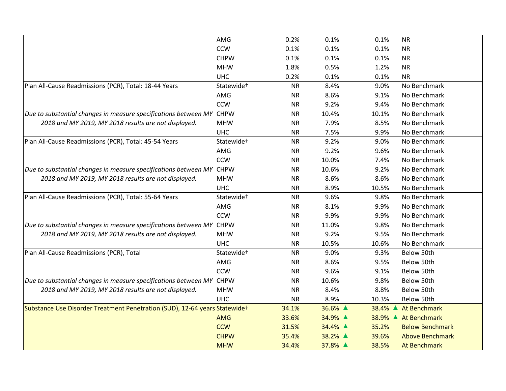|                                                                            | AMG                    | 0.2%      | 0.1%    | 0.1%    | <b>NR</b>              |
|----------------------------------------------------------------------------|------------------------|-----------|---------|---------|------------------------|
|                                                                            | <b>CCW</b>             | 0.1%      | 0.1%    | 0.1%    | <b>NR</b>              |
|                                                                            | <b>CHPW</b>            | 0.1%      | 0.1%    | 0.1%    | <b>NR</b>              |
|                                                                            | <b>MHW</b>             | 1.8%      | 0.5%    | 1.2%    | <b>NR</b>              |
|                                                                            | <b>UHC</b>             | 0.2%      | 0.1%    | 0.1%    | <b>NR</b>              |
| Plan All-Cause Readmissions (PCR), Total: 18-44 Years                      | Statewide <sup>+</sup> | <b>NR</b> | 8.4%    | 9.0%    | No Benchmark           |
|                                                                            | AMG                    | <b>NR</b> | 8.6%    | 9.1%    | No Benchmark           |
|                                                                            | <b>CCW</b>             | <b>NR</b> | 9.2%    | 9.4%    | No Benchmark           |
| Due to substantial changes in measure specifications between MY CHPW       |                        | <b>NR</b> | 10.4%   | 10.1%   | No Benchmark           |
| 2018 and MY 2019, MY 2018 results are not displayed.                       | <b>MHW</b>             | <b>NR</b> | 7.9%    | 8.5%    | No Benchmark           |
|                                                                            | <b>UHC</b>             | <b>NR</b> | 7.5%    | 9.9%    | No Benchmark           |
| Plan All-Cause Readmissions (PCR), Total: 45-54 Years                      | Statewide <sup>+</sup> | <b>NR</b> | 9.2%    | 9.0%    | No Benchmark           |
|                                                                            | AMG                    | <b>NR</b> | 9.2%    | 9.6%    | No Benchmark           |
|                                                                            | <b>CCW</b>             | <b>NR</b> | 10.0%   | 7.4%    | No Benchmark           |
| Due to substantial changes in measure specifications between MY CHPW       |                        | <b>NR</b> | 10.6%   | 9.2%    | No Benchmark           |
| 2018 and MY 2019, MY 2018 results are not displayed.                       | <b>MHW</b>             | <b>NR</b> | 8.6%    | 8.6%    | No Benchmark           |
|                                                                            | <b>UHC</b>             | <b>NR</b> | 8.9%    | 10.5%   | No Benchmark           |
| Plan All-Cause Readmissions (PCR), Total: 55-64 Years                      | Statewide <sup>+</sup> | <b>NR</b> | 9.6%    | 9.8%    | No Benchmark           |
|                                                                            | AMG                    | <b>NR</b> | 8.1%    | 9.9%    | No Benchmark           |
|                                                                            | <b>CCW</b>             | <b>NR</b> | 9.9%    | 9.9%    | No Benchmark           |
| Due to substantial changes in measure specifications between MY CHPW       |                        | <b>NR</b> | 11.0%   | 9.8%    | No Benchmark           |
| 2018 and MY 2019, MY 2018 results are not displayed.                       | <b>MHW</b>             | <b>NR</b> | 9.2%    | 9.5%    | No Benchmark           |
|                                                                            | <b>UHC</b>             | <b>NR</b> | 10.5%   | 10.6%   | No Benchmark           |
| Plan All-Cause Readmissions (PCR), Total                                   | Statewide <sup>+</sup> | <b>NR</b> | 9.0%    | 9.3%    | Below 50th             |
|                                                                            | AMG                    | <b>NR</b> | 8.6%    | 9.5%    | Below 50th             |
|                                                                            | <b>CCW</b>             | <b>NR</b> | 9.6%    | 9.1%    | Below 50th             |
| Due to substantial changes in measure specifications between MY CHPW       |                        | <b>NR</b> | 10.6%   | 9.8%    | Below 50th             |
| 2018 and MY 2019, MY 2018 results are not displayed.                       | <b>MHW</b>             | <b>NR</b> | 8.4%    | 8.8%    | Below 50th             |
|                                                                            | <b>UHC</b>             | <b>NR</b> | 8.9%    | 10.3%   | Below 50th             |
| Substance Use Disorder Treatment Penetration (SUD), 12-64 years Statewidet |                        | 34.1%     | 36.6% ▲ | 38.4% ▲ | At Benchmark           |
|                                                                            | <b>AMG</b>             | 33.6%     | 34.9% ▲ |         | 38.9% ▲ At Benchmark   |
|                                                                            | <b>CCW</b>             | 31.5%     | 34.4% ▲ | 35.2%   | <b>Below Benchmark</b> |
|                                                                            |                        |           |         |         |                        |
|                                                                            | <b>CHPW</b>            | 35.4%     | 38.2% ▲ | 39.6%   | <b>Above Benchmark</b> |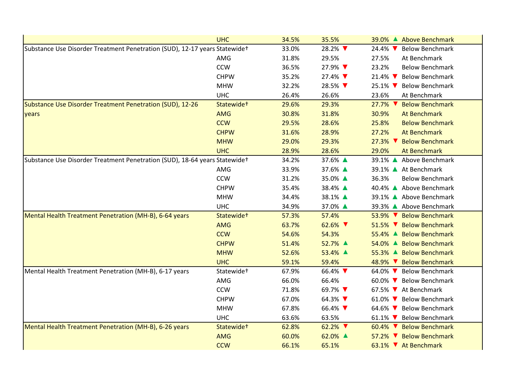|                                                                            | <b>UHC</b>             | 34.5% | 35.5%                      | 39.0% ▲ Above Benchmark                              |
|----------------------------------------------------------------------------|------------------------|-------|----------------------------|------------------------------------------------------|
| Substance Use Disorder Treatment Penetration (SUD), 12-17 years Statewidet |                        | 33.0% | 28.2% ▼                    | <b>Below Benchmark</b><br>24.4% $\blacktriangledown$ |
|                                                                            | AMG                    | 31.8% | 29.5%                      | 27.5%<br>At Benchmark                                |
|                                                                            | <b>CCW</b>             | 36.5% | 27.9% ▼                    | 23.2%<br><b>Below Benchmark</b>                      |
|                                                                            | <b>CHPW</b>            | 35.2% | 27.4%                      | 21.4% V Below Benchmark                              |
|                                                                            | <b>MHW</b>             | 32.2% | 28.5%                      | 25.1% V Below Benchmark                              |
|                                                                            | <b>UHC</b>             | 26.4% | 26.6%                      | 23.6%<br>At Benchmark                                |
| Substance Use Disorder Treatment Penetration (SUD), 12-26                  | Statewide <sup>+</sup> | 29.6% | 29.3%                      | $27.7\%$<br><b>Below Benchmark</b>                   |
| years                                                                      | <b>AMG</b>             | 30.8% | 31.8%                      | 30.9%<br>At Benchmark                                |
|                                                                            | <b>CCW</b>             | 29.5% | 28.6%                      | 25.8%<br><b>Below Benchmark</b>                      |
|                                                                            | <b>CHPW</b>            | 31.6% | 28.9%                      | 27.2%<br>At Benchmark                                |
|                                                                            | <b>MHW</b>             | 29.0% | 29.3%                      | 27.3% ▼ Below Benchmark                              |
|                                                                            | <b>UHC</b>             | 28.9% | 28.6%                      | 29.0%<br>At Benchmark                                |
| Substance Use Disorder Treatment Penetration (SUD), 18-64 years Statewidet |                        | 34.2% | 37.6% ▲                    | 39.1% ▲ Above Benchmark                              |
|                                                                            | AMG                    | 33.9% | 37.6% ▲                    | 39.1% ▲ At Benchmark                                 |
|                                                                            | CCW                    | 31.2% | 35.0% ▲                    | 36.3%<br><b>Below Benchmark</b>                      |
|                                                                            | <b>CHPW</b>            | 35.4% | 38.4% ▲                    | 40.4% ▲ Above Benchmark                              |
|                                                                            | <b>MHW</b>             | 34.4% | 38.1% ▲                    | 39.1% ▲ Above Benchmark                              |
|                                                                            | <b>UHC</b>             | 34.9% | 37.0% ▲                    | 39.3% ▲ Above Benchmark                              |
| Mental Health Treatment Penetration (MH-B), 6-64 years                     | Statewide <sup>+</sup> | 57.3% | 57.4%                      | 53.9% ▼ Below Benchmark                              |
|                                                                            | <b>AMG</b>             | 63.7% | 62.6% $\blacktriangledown$ | 51.5% V Below Benchmark                              |
|                                                                            | <b>CCW</b>             | 54.6% | 54.3%                      | 55.4% ▲ Below Benchmark                              |
|                                                                            | <b>CHPW</b>            | 51.4% | 52.7% ▲                    | 54.0% ▲ Below Benchmark                              |
|                                                                            | <b>MHW</b>             | 52.6% | 53.4% ▲                    | 55.3% ▲ Below Benchmark                              |
|                                                                            | <b>UHC</b>             | 59.1% | 59.4%                      | 48.9% ▼ Below Benchmark                              |
| Mental Health Treatment Penetration (MH-B), 6-17 years                     | Statewide <sup>+</sup> | 67.9% | 66.4% ▼                    | 64.0% V Below Benchmark                              |
|                                                                            | AMG                    | 66.0% | 66.4%                      | 60.0% V Below Benchmark                              |
|                                                                            | CCW                    | 71.8% | 69.7% ▼                    | 67.5% V At Benchmark                                 |
|                                                                            | <b>CHPW</b>            | 67.0% | 64.3% ▼                    | 61.0% V Below Benchmark                              |
|                                                                            | <b>MHW</b>             | 67.8% | 66.4%                      | 64.6% V Below Benchmark                              |
|                                                                            | <b>UHC</b>             | 63.6% | 63.5%                      | 61.1% V Below Benchmark                              |
| Mental Health Treatment Penetration (MH-B), 6-26 years                     | Statewide <sup>+</sup> | 62.8% | $62.2\%$                   | 60.4% V Below Benchmark                              |
|                                                                            | <b>AMG</b>             | 60.0% | 62.0% ▲                    | 57.2% ▼ Below Benchmark                              |
|                                                                            | <b>CCW</b>             | 66.1% | 65.1%                      | 63.1% V At Benchmark                                 |